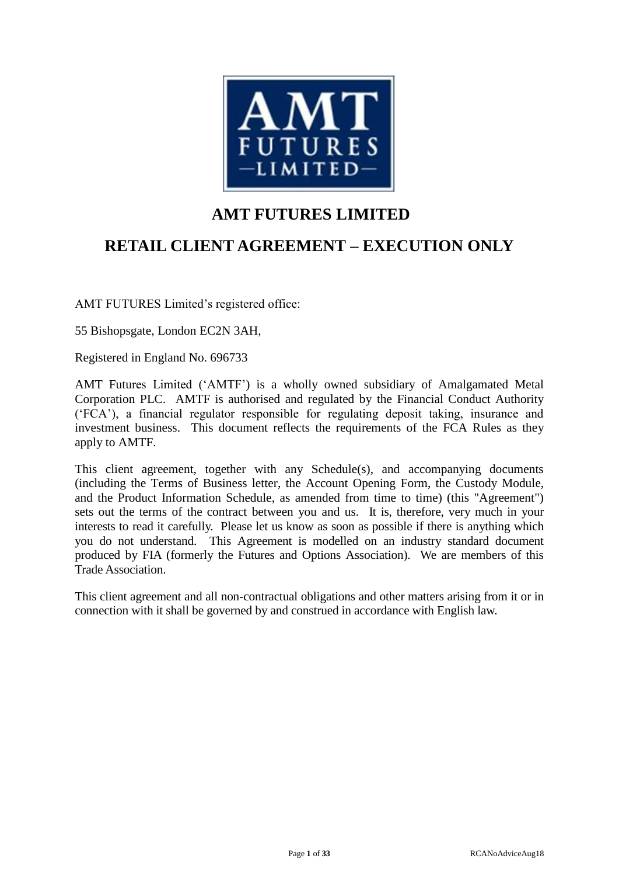

# **AMT FUTURES LIMITED**

# **RETAIL CLIENT AGREEMENT – EXECUTION ONLY**

AMT FUTURES Limited's registered office:

55 Bishopsgate, London EC2N 3AH,

Registered in England No. 696733

AMT Futures Limited ('AMTF') is a wholly owned subsidiary of Amalgamated Metal Corporation PLC. AMTF is authorised and regulated by the Financial Conduct Authority ('FCA'), a financial regulator responsible for regulating deposit taking, insurance and investment business. This document reflects the requirements of the FCA Rules as they apply to AMTF.

This client agreement, together with any Schedule(s), and accompanying documents (including the Terms of Business letter, the Account Opening Form, the Custody Module, and the Product Information Schedule, as amended from time to time) (this "Agreement") sets out the terms of the contract between you and us. It is, therefore, very much in your interests to read it carefully. Please let us know as soon as possible if there is anything which you do not understand. This Agreement is modelled on an industry standard document produced by FIA (formerly the Futures and Options Association). We are members of this Trade Association.

This client agreement and all non-contractual obligations and other matters arising from it or in connection with it shall be governed by and construed in accordance with English law.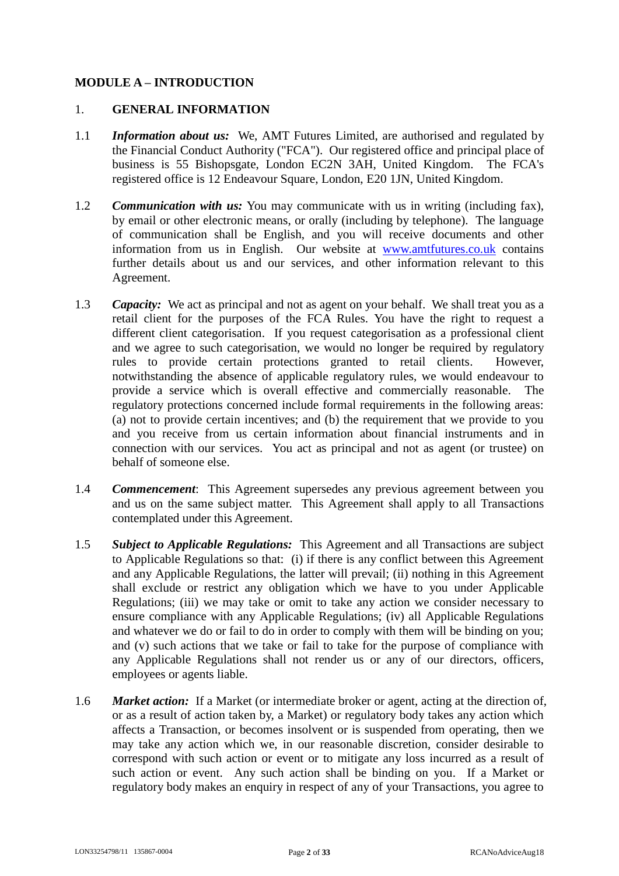# **MODULE A – INTRODUCTION**

#### 1. **GENERAL INFORMATION**

- 1.1 *Information about us:* We, AMT Futures Limited, are authorised and regulated by the Financial Conduct Authority ("FCA"). Our registered office and principal place of business is 55 Bishopsgate, London EC2N 3AH, United Kingdom. The FCA's registered office is 12 Endeavour Square, London, E20 1JN, United Kingdom.
- 1.2 *Communication with us:* You may communicate with us in writing (including fax), by email or other electronic means, or orally (including by telephone). The language of communication shall be English, and you will receive documents and other information from us in English. Our website at [www.amtfutures.co.uk](http://www.amtfutures.co.uk/) contains further details about us and our services, and other information relevant to this Agreement.
- 1.3 *Capacity:* We act as principal and not as agent on your behalf. We shall treat you as a retail client for the purposes of the FCA Rules. You have the right to request a different client categorisation. If you request categorisation as a professional client and we agree to such categorisation, we would no longer be required by regulatory rules to provide certain protections granted to retail clients. However, notwithstanding the absence of applicable regulatory rules, we would endeavour to provide a service which is overall effective and commercially reasonable. The regulatory protections concerned include formal requirements in the following areas: (a) not to provide certain incentives; and (b) the requirement that we provide to you and you receive from us certain information about financial instruments and in connection with our services. You act as principal and not as agent (or trustee) on behalf of someone else.
- 1.4 *Commencement*: This Agreement supersedes any previous agreement between you and us on the same subject matter. This Agreement shall apply to all Transactions contemplated under this Agreement.
- 1.5 *Subject to Applicable Regulations:* This Agreement and all Transactions are subject to Applicable Regulations so that: (i) if there is any conflict between this Agreement and any Applicable Regulations, the latter will prevail; (ii) nothing in this Agreement shall exclude or restrict any obligation which we have to you under Applicable Regulations; (iii) we may take or omit to take any action we consider necessary to ensure compliance with any Applicable Regulations; (iv) all Applicable Regulations and whatever we do or fail to do in order to comply with them will be binding on you; and (v) such actions that we take or fail to take for the purpose of compliance with any Applicable Regulations shall not render us or any of our directors, officers, employees or agents liable.
- 1.6 *Market action:* If a Market (or intermediate broker or agent, acting at the direction of, or as a result of action taken by, a Market) or regulatory body takes any action which affects a Transaction, or becomes insolvent or is suspended from operating, then we may take any action which we, in our reasonable discretion, consider desirable to correspond with such action or event or to mitigate any loss incurred as a result of such action or event. Any such action shall be binding on you. If a Market or regulatory body makes an enquiry in respect of any of your Transactions, you agree to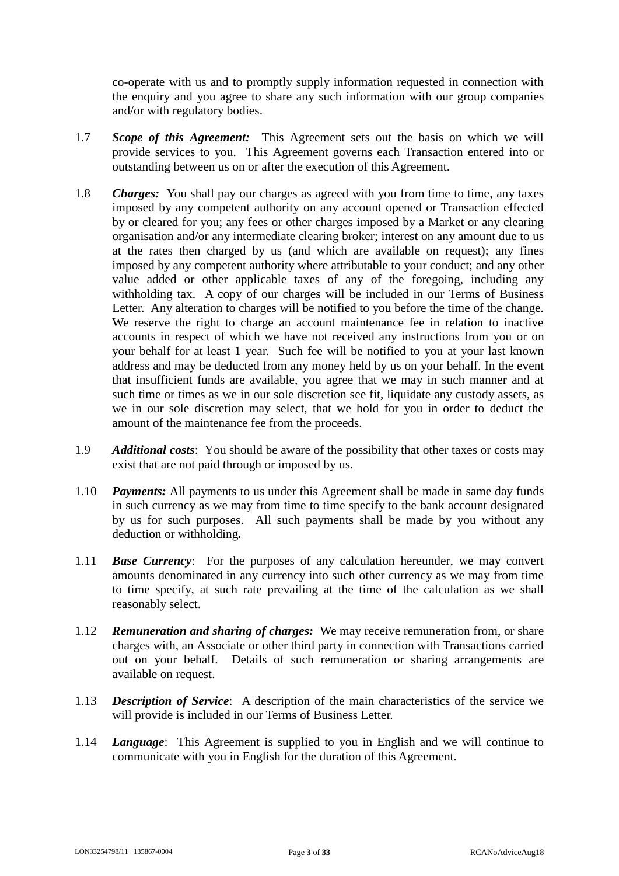co-operate with us and to promptly supply information requested in connection with the enquiry and you agree to share any such information with our group companies and/or with regulatory bodies.

- 1.7 *Scope of this Agreement:* This Agreement sets out the basis on which we will provide services to you. This Agreement governs each Transaction entered into or outstanding between us on or after the execution of this Agreement.
- 1.8 *Charges:* You shall pay our charges as agreed with you from time to time, any taxes imposed by any competent authority on any account opened or Transaction effected by or cleared for you; any fees or other charges imposed by a Market or any clearing organisation and/or any intermediate clearing broker; interest on any amount due to us at the rates then charged by us (and which are available on request); any fines imposed by any competent authority where attributable to your conduct; and any other value added or other applicable taxes of any of the foregoing, including any withholding tax. A copy of our charges will be included in our Terms of Business Letter. Any alteration to charges will be notified to you before the time of the change. We reserve the right to charge an account maintenance fee in relation to inactive accounts in respect of which we have not received any instructions from you or on your behalf for at least 1 year. Such fee will be notified to you at your last known address and may be deducted from any money held by us on your behalf. In the event that insufficient funds are available, you agree that we may in such manner and at such time or times as we in our sole discretion see fit, liquidate any custody assets, as we in our sole discretion may select, that we hold for you in order to deduct the amount of the maintenance fee from the proceeds.
- 1.9 *Additional costs*: You should be aware of the possibility that other taxes or costs may exist that are not paid through or imposed by us.
- 1.10 *Payments:* All payments to us under this Agreement shall be made in same day funds in such currency as we may from time to time specify to the bank account designated by us for such purposes. All such payments shall be made by you without any deduction or withholding*.*
- 1.11 *Base Currency*: For the purposes of any calculation hereunder, we may convert amounts denominated in any currency into such other currency as we may from time to time specify, at such rate prevailing at the time of the calculation as we shall reasonably select.
- 1.12 *Remuneration and sharing of charges:* We may receive remuneration from, or share charges with, an Associate or other third party in connection with Transactions carried out on your behalf. Details of such remuneration or sharing arrangements are available on request.
- 1.13 *Description of Service*: A description of the main characteristics of the service we will provide is included in our Terms of Business Letter.
- 1.14 *Language*: This Agreement is supplied to you in English and we will continue to communicate with you in English for the duration of this Agreement.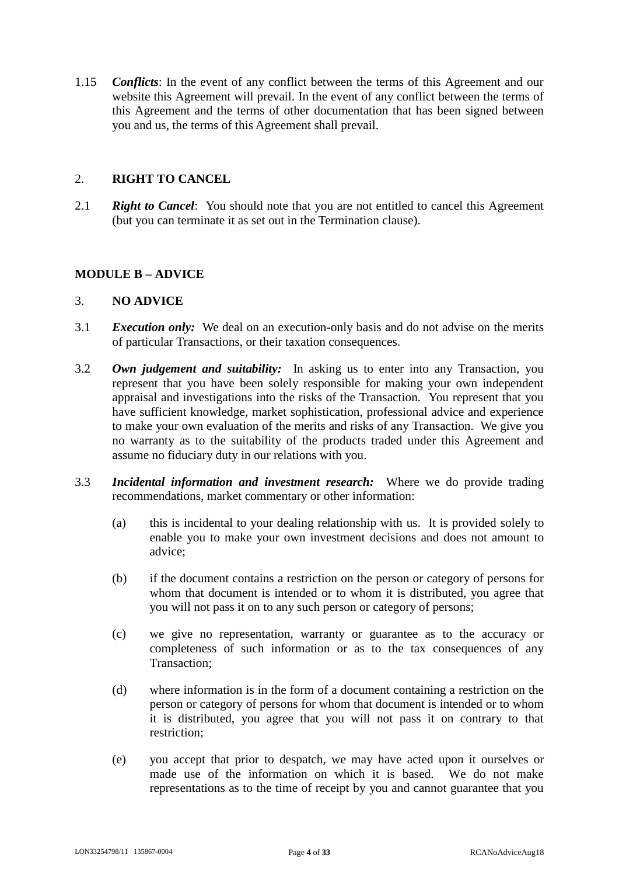1.15 *Conflicts*: In the event of any conflict between the terms of this Agreement and our website this Agreement will prevail. In the event of any conflict between the terms of this Agreement and the terms of other documentation that has been signed between you and us, the terms of this Agreement shall prevail.

### 2. **RIGHT TO CANCEL**

2.1 *Right to Cancel*: You should note that you are not entitled to cancel this Agreement (but you can terminate it as set out in the Termination clause).

#### **MODULE B – ADVICE**

#### 3. **NO ADVICE**

- 3.1 *Execution only:* We deal on an execution-only basis and do not advise on the merits of particular Transactions, or their taxation consequences.
- 3.2 *Own judgement and suitability:* In asking us to enter into any Transaction, you represent that you have been solely responsible for making your own independent appraisal and investigations into the risks of the Transaction. You represent that you have sufficient knowledge, market sophistication, professional advice and experience to make your own evaluation of the merits and risks of any Transaction. We give you no warranty as to the suitability of the products traded under this Agreement and assume no fiduciary duty in our relations with you.
- 3.3 *Incidental information and investment research:* Where we do provide trading recommendations, market commentary or other information:
	- (a) this is incidental to your dealing relationship with us. It is provided solely to enable you to make your own investment decisions and does not amount to advice;
	- (b) if the document contains a restriction on the person or category of persons for whom that document is intended or to whom it is distributed, you agree that you will not pass it on to any such person or category of persons;
	- (c) we give no representation, warranty or guarantee as to the accuracy or completeness of such information or as to the tax consequences of any Transaction;
	- (d) where information is in the form of a document containing a restriction on the person or category of persons for whom that document is intended or to whom it is distributed, you agree that you will not pass it on contrary to that restriction;
	- (e) you accept that prior to despatch, we may have acted upon it ourselves or made use of the information on which it is based. We do not make representations as to the time of receipt by you and cannot guarantee that you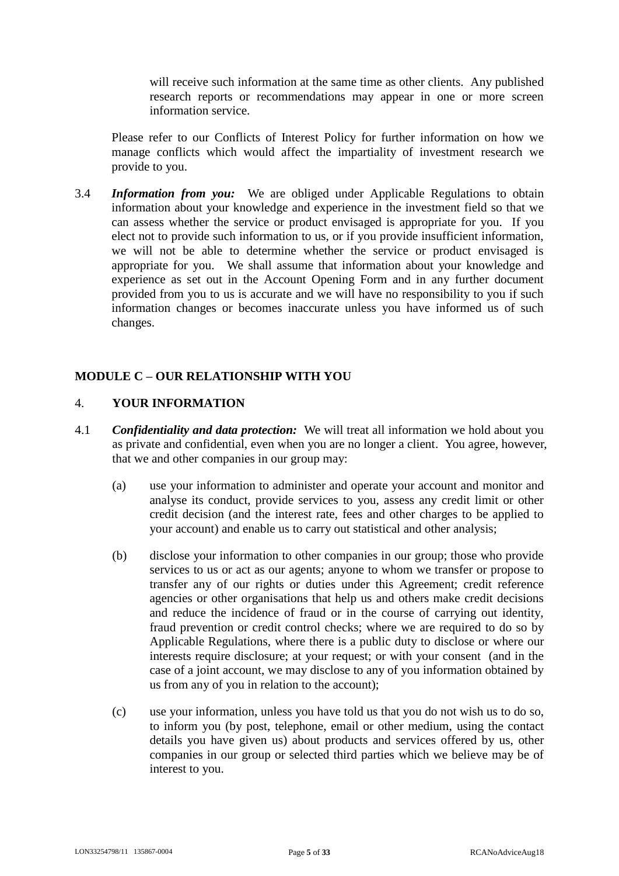will receive such information at the same time as other clients. Any published research reports or recommendations may appear in one or more screen information service.

Please refer to our Conflicts of Interest Policy for further information on how we manage conflicts which would affect the impartiality of investment research we provide to you.

3.4 *Information from you:* We are obliged under Applicable Regulations to obtain information about your knowledge and experience in the investment field so that we can assess whether the service or product envisaged is appropriate for you. If you elect not to provide such information to us, or if you provide insufficient information, we will not be able to determine whether the service or product envisaged is appropriate for you. We shall assume that information about your knowledge and experience as set out in the Account Opening Form and in any further document provided from you to us is accurate and we will have no responsibility to you if such information changes or becomes inaccurate unless you have informed us of such changes.

# **MODULE C – OUR RELATIONSHIP WITH YOU**

# 4. **YOUR INFORMATION**

- 4.1 *Confidentiality and data protection:* We will treat all information we hold about you as private and confidential, even when you are no longer a client. You agree, however, that we and other companies in our group may:
	- (a) use your information to administer and operate your account and monitor and analyse its conduct, provide services to you, assess any credit limit or other credit decision (and the interest rate, fees and other charges to be applied to your account) and enable us to carry out statistical and other analysis;
	- (b) disclose your information to other companies in our group; those who provide services to us or act as our agents; anyone to whom we transfer or propose to transfer any of our rights or duties under this Agreement; credit reference agencies or other organisations that help us and others make credit decisions and reduce the incidence of fraud or in the course of carrying out identity, fraud prevention or credit control checks; where we are required to do so by Applicable Regulations, where there is a public duty to disclose or where our interests require disclosure; at your request; or with your consent (and in the case of a joint account, we may disclose to any of you information obtained by us from any of you in relation to the account);
	- (c) use your information, unless you have told us that you do not wish us to do so, to inform you (by post, telephone, email or other medium, using the contact details you have given us) about products and services offered by us, other companies in our group or selected third parties which we believe may be of interest to you.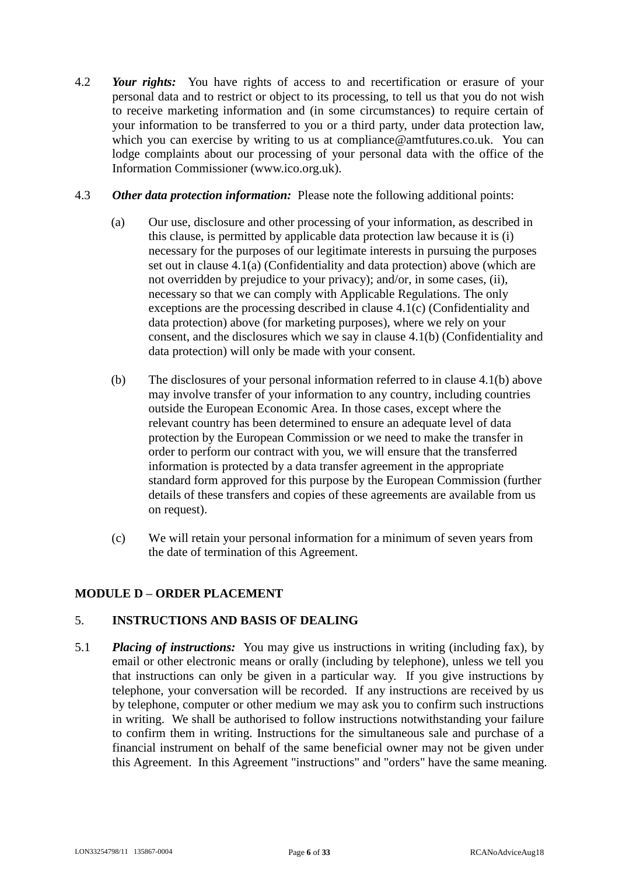- 4.2 *Your rights:* You have rights of access to and recertification or erasure of your personal data and to restrict or object to its processing, to tell us that you do not wish to receive marketing information and (in some circumstances) to require certain of your information to be transferred to you or a third party, under data protection law, which you can exercise by writing to us at compliance@amtfutures.co.uk. You can lodge complaints about our processing of your personal data with the office of the Information Commissioner (www.ico.org.uk).
- 4.3 *Other data protection information:* Please note the following additional points:
	- (a) Our use, disclosure and other processing of your information, as described in this clause, is permitted by applicable data protection law because it is (i) necessary for the purposes of our legitimate interests in pursuing the purposes set out in clause 4.1(a) (Confidentiality and data protection) above (which are not overridden by prejudice to your privacy); and/or, in some cases, (ii), necessary so that we can comply with Applicable Regulations. The only exceptions are the processing described in clause 4.1(c) (Confidentiality and data protection) above (for marketing purposes), where we rely on your consent, and the disclosures which we say in clause 4.1(b) (Confidentiality and data protection) will only be made with your consent.
	- (b) The disclosures of your personal information referred to in clause 4.1(b) above may involve transfer of your information to any country, including countries outside the European Economic Area. In those cases, except where the relevant country has been determined to ensure an adequate level of data protection by the European Commission or we need to make the transfer in order to perform our contract with you, we will ensure that the transferred information is protected by a data transfer agreement in the appropriate standard form approved for this purpose by the European Commission (further details of these transfers and copies of these agreements are available from us on request).
	- (c) We will retain your personal information for a minimum of seven years from the date of termination of this Agreement.

# **MODULE D – ORDER PLACEMENT**

# 5. **INSTRUCTIONS AND BASIS OF DEALING**

5.1 *Placing of instructions:* You may give us instructions in writing (including fax), by email or other electronic means or orally (including by telephone), unless we tell you that instructions can only be given in a particular way. If you give instructions by telephone, your conversation will be recorded. If any instructions are received by us by telephone, computer or other medium we may ask you to confirm such instructions in writing. We shall be authorised to follow instructions notwithstanding your failure to confirm them in writing. Instructions for the simultaneous sale and purchase of a financial instrument on behalf of the same beneficial owner may not be given under this Agreement. In this Agreement "instructions" and "orders" have the same meaning.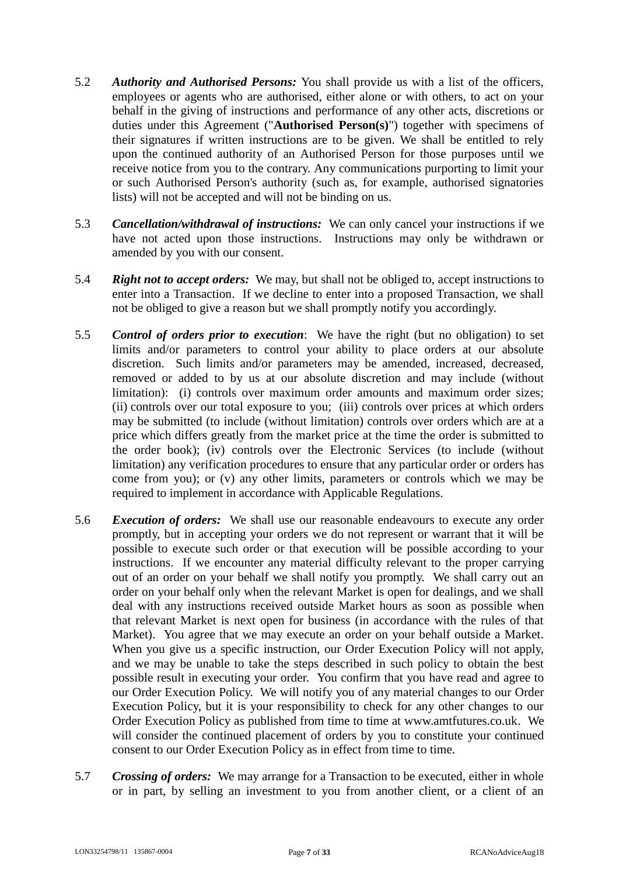- 5.2 *Authority and Authorised Persons:* You shall provide us with a list of the officers, employees or agents who are authorised, either alone or with others, to act on your behalf in the giving of instructions and performance of any other acts, discretions or duties under this Agreement ("**Authorised Person(s)**") together with specimens of their signatures if written instructions are to be given. We shall be entitled to rely upon the continued authority of an Authorised Person for those purposes until we receive notice from you to the contrary. Any communications purporting to limit your or such Authorised Person's authority (such as, for example, authorised signatories lists) will not be accepted and will not be binding on us.
- 5.3 *Cancellation/withdrawal of instructions:* We can only cancel your instructions if we have not acted upon those instructions. Instructions may only be withdrawn or amended by you with our consent.
- 5.4 *Right not to accept orders:* We may, but shall not be obliged to, accept instructions to enter into a Transaction. If we decline to enter into a proposed Transaction, we shall not be obliged to give a reason but we shall promptly notify you accordingly.
- 5.5 *Control of orders prior to execution*: We have the right (but no obligation) to set limits and/or parameters to control your ability to place orders at our absolute discretion. Such limits and/or parameters may be amended, increased, decreased, removed or added to by us at our absolute discretion and may include (without limitation): (i) controls over maximum order amounts and maximum order sizes; (ii) controls over our total exposure to you; (iii) controls over prices at which orders may be submitted (to include (without limitation) controls over orders which are at a price which differs greatly from the market price at the time the order is submitted to the order book); (iv) controls over the Electronic Services (to include (without limitation) any verification procedures to ensure that any particular order or orders has come from you); or (v) any other limits, parameters or controls which we may be required to implement in accordance with Applicable Regulations.
- 5.6 *Execution of orders:* We shall use our reasonable endeavours to execute any order promptly, but in accepting your orders we do not represent or warrant that it will be possible to execute such order or that execution will be possible according to your instructions. If we encounter any material difficulty relevant to the proper carrying out of an order on your behalf we shall notify you promptly. We shall carry out an order on your behalf only when the relevant Market is open for dealings, and we shall deal with any instructions received outside Market hours as soon as possible when that relevant Market is next open for business (in accordance with the rules of that Market). You agree that we may execute an order on your behalf outside a Market. When you give us a specific instruction, our Order Execution Policy will not apply, and we may be unable to take the steps described in such policy to obtain the best possible result in executing your order. You confirm that you have read and agree to our Order Execution Policy. We will notify you of any material changes to our Order Execution Policy, but it is your responsibility to check for any other changes to our Order Execution Policy as published from time to time at www.amtfutures.co.uk. We will consider the continued placement of orders by you to constitute your continued consent to our Order Execution Policy as in effect from time to time.
- 5.7 *Crossing of orders:* We may arrange for a Transaction to be executed, either in whole or in part, by selling an investment to you from another client, or a client of an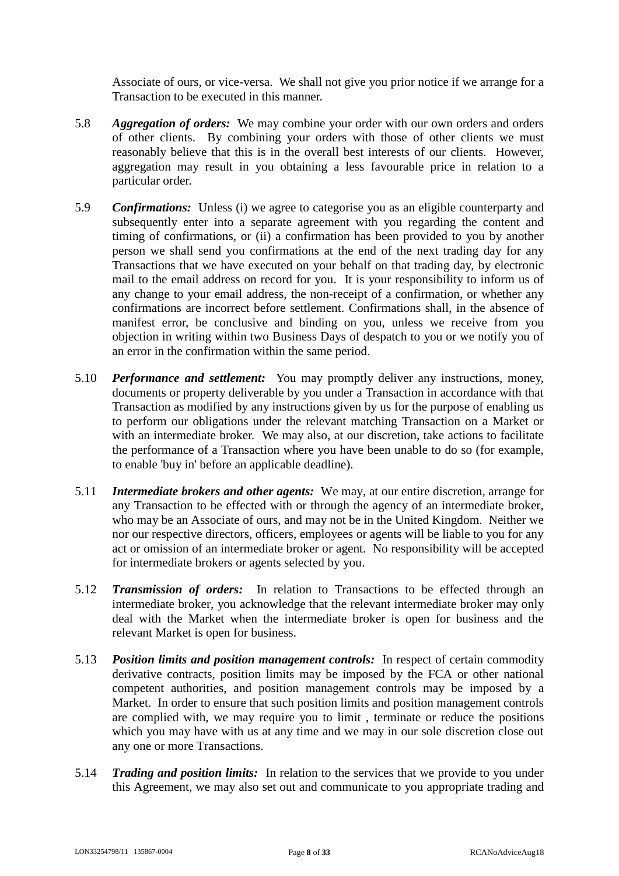Associate of ours, or vice-versa. We shall not give you prior notice if we arrange for a Transaction to be executed in this manner.

- 5.8 *Aggregation of orders:* We may combine your order with our own orders and orders of other clients. By combining your orders with those of other clients we must reasonably believe that this is in the overall best interests of our clients. However, aggregation may result in you obtaining a less favourable price in relation to a particular order.
- 5.9 *Confirmations:* Unless (i) we agree to categorise you as an eligible counterparty and subsequently enter into a separate agreement with you regarding the content and timing of confirmations, or (ii) a confirmation has been provided to you by another person we shall send you confirmations at the end of the next trading day for any Transactions that we have executed on your behalf on that trading day, by electronic mail to the email address on record for you. It is your responsibility to inform us of any change to your email address, the non-receipt of a confirmation, or whether any confirmations are incorrect before settlement. Confirmations shall, in the absence of manifest error, be conclusive and binding on you, unless we receive from you objection in writing within two Business Days of despatch to you or we notify you of an error in the confirmation within the same period.
- 5.10 *Performance and settlement:* You may promptly deliver any instructions, money, documents or property deliverable by you under a Transaction in accordance with that Transaction as modified by any instructions given by us for the purpose of enabling us to perform our obligations under the relevant matching Transaction on a Market or with an intermediate broker. We may also, at our discretion, take actions to facilitate the performance of a Transaction where you have been unable to do so (for example, to enable 'buy in' before an applicable deadline).
- 5.11 *Intermediate brokers and other agents:* We may, at our entire discretion, arrange for any Transaction to be effected with or through the agency of an intermediate broker, who may be an Associate of ours, and may not be in the United Kingdom. Neither we nor our respective directors, officers, employees or agents will be liable to you for any act or omission of an intermediate broker or agent. No responsibility will be accepted for intermediate brokers or agents selected by you.
- 5.12 *Transmission of orders:* In relation to Transactions to be effected through an intermediate broker, you acknowledge that the relevant intermediate broker may only deal with the Market when the intermediate broker is open for business and the relevant Market is open for business.
- 5.13 *Position limits and position management controls:* In respect of certain commodity derivative contracts, position limits may be imposed by the FCA or other national competent authorities, and position management controls may be imposed by a Market. In order to ensure that such position limits and position management controls are complied with, we may require you to limit , terminate or reduce the positions which you may have with us at any time and we may in our sole discretion close out any one or more Transactions.
- 5.14 *Trading and position limits:* In relation to the services that we provide to you under this Agreement, we may also set out and communicate to you appropriate trading and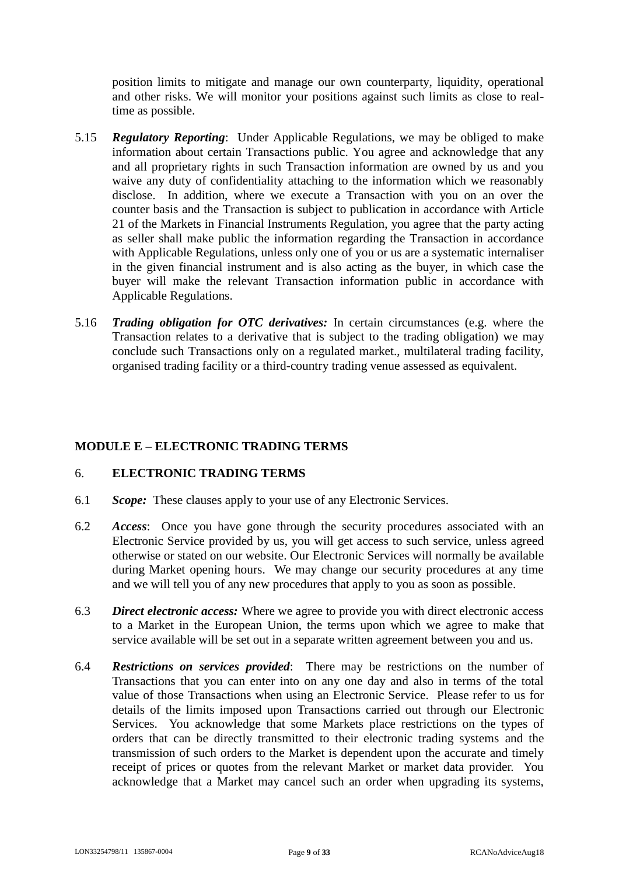position limits to mitigate and manage our own counterparty, liquidity, operational and other risks. We will monitor your positions against such limits as close to realtime as possible.

- 5.15 *Regulatory Reporting*: Under Applicable Regulations, we may be obliged to make information about certain Transactions public. You agree and acknowledge that any and all proprietary rights in such Transaction information are owned by us and you waive any duty of confidentiality attaching to the information which we reasonably disclose. In addition, where we execute a Transaction with you on an over the counter basis and the Transaction is subject to publication in accordance with Article 21 of the Markets in Financial Instruments Regulation, you agree that the party acting as seller shall make public the information regarding the Transaction in accordance with Applicable Regulations, unless only one of you or us are a systematic internaliser in the given financial instrument and is also acting as the buyer, in which case the buyer will make the relevant Transaction information public in accordance with Applicable Regulations.
- 5.16 *Trading obligation for OTC derivatives:* In certain circumstances (e.g. where the Transaction relates to a derivative that is subject to the trading obligation) we may conclude such Transactions only on a regulated market., multilateral trading facility, organised trading facility or a third-country trading venue assessed as equivalent.

#### **MODULE E – ELECTRONIC TRADING TERMS**

### 6. **ELECTRONIC TRADING TERMS**

- 6.1 *Scope:* These clauses apply to your use of any Electronic Services.
- 6.2 *Access*: Once you have gone through the security procedures associated with an Electronic Service provided by us, you will get access to such service, unless agreed otherwise or stated on our website. Our Electronic Services will normally be available during Market opening hours. We may change our security procedures at any time and we will tell you of any new procedures that apply to you as soon as possible.
- 6.3 *Direct electronic access:* Where we agree to provide you with direct electronic access to a Market in the European Union, the terms upon which we agree to make that service available will be set out in a separate written agreement between you and us.
- 6.4 *Restrictions on services provided*: There may be restrictions on the number of Transactions that you can enter into on any one day and also in terms of the total value of those Transactions when using an Electronic Service. Please refer to us for details of the limits imposed upon Transactions carried out through our Electronic Services. You acknowledge that some Markets place restrictions on the types of orders that can be directly transmitted to their electronic trading systems and the transmission of such orders to the Market is dependent upon the accurate and timely receipt of prices or quotes from the relevant Market or market data provider. You acknowledge that a Market may cancel such an order when upgrading its systems,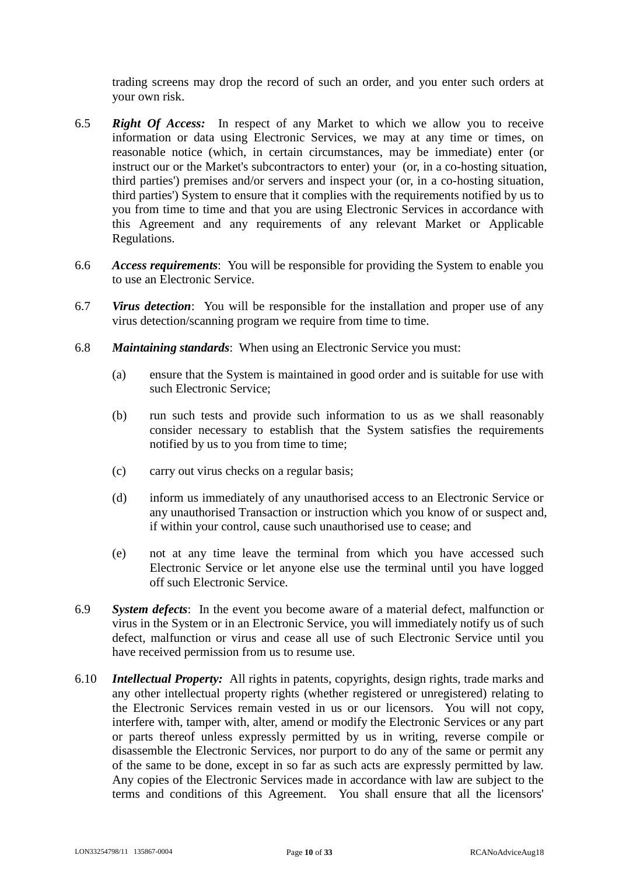trading screens may drop the record of such an order, and you enter such orders at your own risk.

- 6.5 *Right Of Access:* In respect of any Market to which we allow you to receive information or data using Electronic Services, we may at any time or times, on reasonable notice (which, in certain circumstances, may be immediate) enter (or instruct our or the Market's subcontractors to enter) your (or, in a co-hosting situation, third parties') premises and/or servers and inspect your (or, in a co-hosting situation, third parties') System to ensure that it complies with the requirements notified by us to you from time to time and that you are using Electronic Services in accordance with this Agreement and any requirements of any relevant Market or Applicable Regulations.
- 6.6 *Access requirements*: You will be responsible for providing the System to enable you to use an Electronic Service.
- 6.7 *Virus detection*: You will be responsible for the installation and proper use of any virus detection/scanning program we require from time to time.
- 6.8 *Maintaining standards*: When using an Electronic Service you must:
	- (a) ensure that the System is maintained in good order and is suitable for use with such Electronic Service;
	- (b) run such tests and provide such information to us as we shall reasonably consider necessary to establish that the System satisfies the requirements notified by us to you from time to time;
	- (c) carry out virus checks on a regular basis;
	- (d) inform us immediately of any unauthorised access to an Electronic Service or any unauthorised Transaction or instruction which you know of or suspect and, if within your control, cause such unauthorised use to cease; and
	- (e) not at any time leave the terminal from which you have accessed such Electronic Service or let anyone else use the terminal until you have logged off such Electronic Service.
- 6.9 *System defects*: In the event you become aware of a material defect, malfunction or virus in the System or in an Electronic Service, you will immediately notify us of such defect, malfunction or virus and cease all use of such Electronic Service until you have received permission from us to resume use.
- 6.10 *Intellectual Property:* All rights in patents, copyrights, design rights, trade marks and any other intellectual property rights (whether registered or unregistered) relating to the Electronic Services remain vested in us or our licensors. You will not copy, interfere with, tamper with, alter, amend or modify the Electronic Services or any part or parts thereof unless expressly permitted by us in writing, reverse compile or disassemble the Electronic Services, nor purport to do any of the same or permit any of the same to be done, except in so far as such acts are expressly permitted by law. Any copies of the Electronic Services made in accordance with law are subject to the terms and conditions of this Agreement. You shall ensure that all the licensors'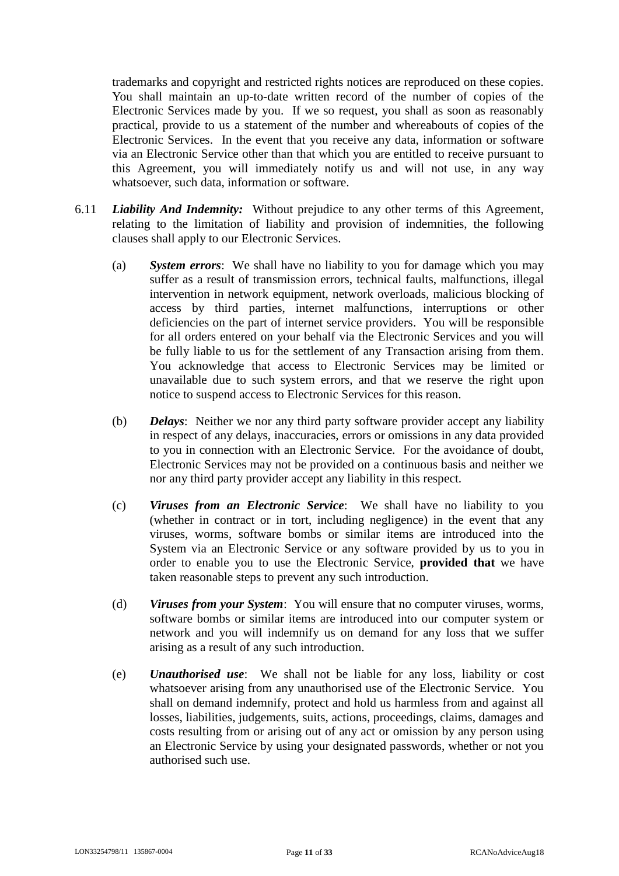trademarks and copyright and restricted rights notices are reproduced on these copies. You shall maintain an up-to-date written record of the number of copies of the Electronic Services made by you. If we so request, you shall as soon as reasonably practical, provide to us a statement of the number and whereabouts of copies of the Electronic Services. In the event that you receive any data, information or software via an Electronic Service other than that which you are entitled to receive pursuant to this Agreement, you will immediately notify us and will not use, in any way whatsoever, such data, information or software.

- 6.11 *Liability And Indemnity:* Without prejudice to any other terms of this Agreement, relating to the limitation of liability and provision of indemnities, the following clauses shall apply to our Electronic Services.
	- (a) *System errors*: We shall have no liability to you for damage which you may suffer as a result of transmission errors, technical faults, malfunctions, illegal intervention in network equipment, network overloads, malicious blocking of access by third parties, internet malfunctions, interruptions or other deficiencies on the part of internet service providers. You will be responsible for all orders entered on your behalf via the Electronic Services and you will be fully liable to us for the settlement of any Transaction arising from them. You acknowledge that access to Electronic Services may be limited or unavailable due to such system errors, and that we reserve the right upon notice to suspend access to Electronic Services for this reason.
	- (b) *Delays*: Neither we nor any third party software provider accept any liability in respect of any delays, inaccuracies, errors or omissions in any data provided to you in connection with an Electronic Service. For the avoidance of doubt, Electronic Services may not be provided on a continuous basis and neither we nor any third party provider accept any liability in this respect.
	- (c) *Viruses from an Electronic Service*: We shall have no liability to you (whether in contract or in tort, including negligence) in the event that any viruses, worms, software bombs or similar items are introduced into the System via an Electronic Service or any software provided by us to you in order to enable you to use the Electronic Service, **provided that** we have taken reasonable steps to prevent any such introduction.
	- (d) *Viruses from your System*: You will ensure that no computer viruses, worms, software bombs or similar items are introduced into our computer system or network and you will indemnify us on demand for any loss that we suffer arising as a result of any such introduction.
	- (e) *Unauthorised use*: We shall not be liable for any loss, liability or cost whatsoever arising from any unauthorised use of the Electronic Service. You shall on demand indemnify, protect and hold us harmless from and against all losses, liabilities, judgements, suits, actions, proceedings, claims, damages and costs resulting from or arising out of any act or omission by any person using an Electronic Service by using your designated passwords, whether or not you authorised such use.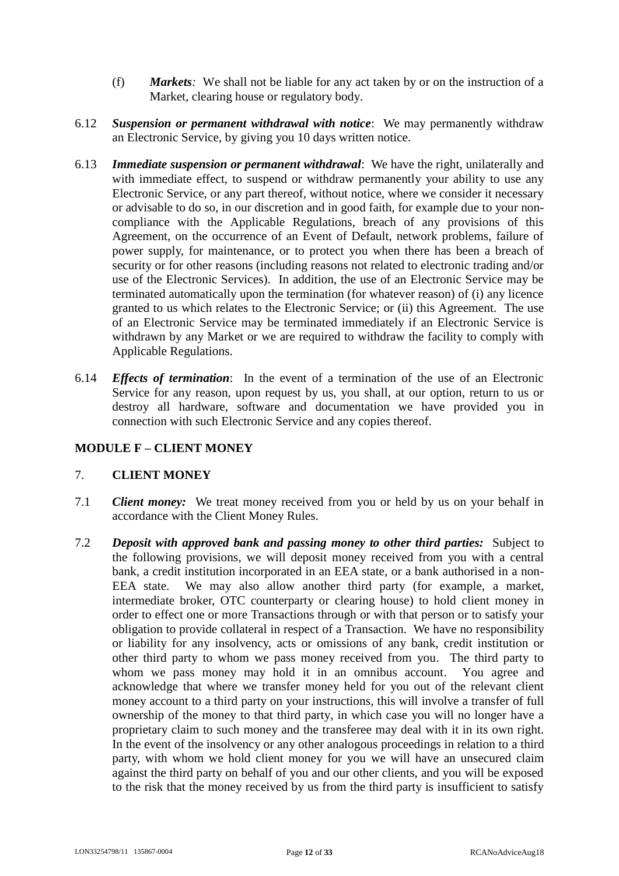- (f) *Markets:* We shall not be liable for any act taken by or on the instruction of a Market, clearing house or regulatory body.
- 6.12 *Suspension or permanent withdrawal with notice*: We may permanently withdraw an Electronic Service, by giving you 10 days written notice.
- 6.13 *Immediate suspension or permanent withdrawal*: We have the right, unilaterally and with immediate effect, to suspend or withdraw permanently your ability to use any Electronic Service, or any part thereof, without notice, where we consider it necessary or advisable to do so, in our discretion and in good faith, for example due to your noncompliance with the Applicable Regulations, breach of any provisions of this Agreement, on the occurrence of an Event of Default, network problems, failure of power supply, for maintenance, or to protect you when there has been a breach of security or for other reasons (including reasons not related to electronic trading and/or use of the Electronic Services). In addition, the use of an Electronic Service may be terminated automatically upon the termination (for whatever reason) of (i) any licence granted to us which relates to the Electronic Service; or (ii) this Agreement. The use of an Electronic Service may be terminated immediately if an Electronic Service is withdrawn by any Market or we are required to withdraw the facility to comply with Applicable Regulations.
- 6.14 *Effects of termination*: In the event of a termination of the use of an Electronic Service for any reason, upon request by us, you shall, at our option, return to us or destroy all hardware, software and documentation we have provided you in connection with such Electronic Service and any copies thereof.

# **MODULE F – CLIENT MONEY**

# 7. **CLIENT MONEY**

- 7.1 *Client money:* We treat money received from you or held by us on your behalf in accordance with the Client Money Rules.
- 7.2 *Deposit with approved bank and passing money to other third parties:* Subject to the following provisions, we will deposit money received from you with a central bank, a credit institution incorporated in an EEA state, or a bank authorised in a non-EEA state. We may also allow another third party (for example, a market, intermediate broker, OTC counterparty or clearing house) to hold client money in order to effect one or more Transactions through or with that person or to satisfy your obligation to provide collateral in respect of a Transaction. We have no responsibility or liability for any insolvency, acts or omissions of any bank, credit institution or other third party to whom we pass money received from you. The third party to whom we pass money may hold it in an omnibus account. You agree and acknowledge that where we transfer money held for you out of the relevant client money account to a third party on your instructions, this will involve a transfer of full ownership of the money to that third party, in which case you will no longer have a proprietary claim to such money and the transferee may deal with it in its own right. In the event of the insolvency or any other analogous proceedings in relation to a third party, with whom we hold client money for you we will have an unsecured claim against the third party on behalf of you and our other clients, and you will be exposed to the risk that the money received by us from the third party is insufficient to satisfy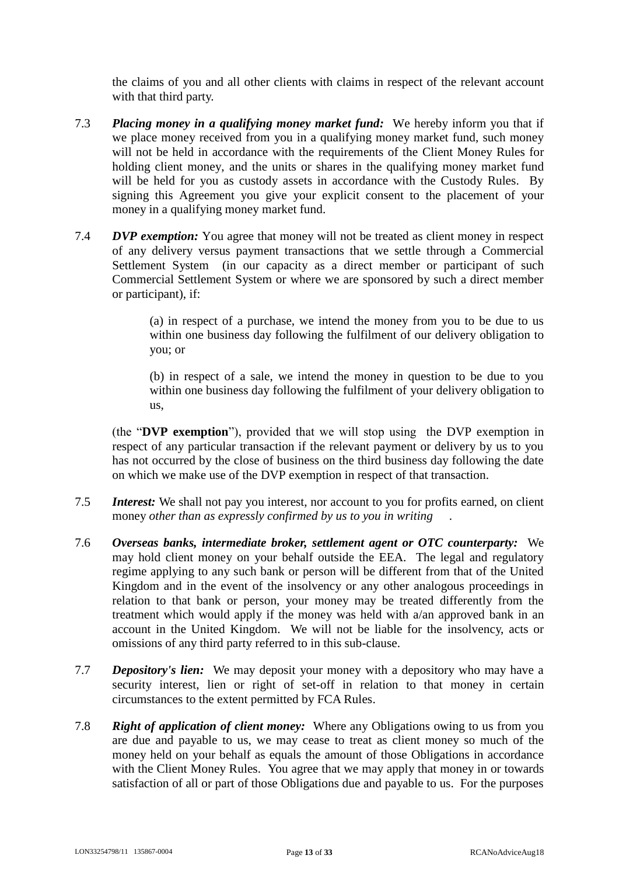the claims of you and all other clients with claims in respect of the relevant account with that third party.

- 7.3 *Placing money in a qualifying money market fund:* We hereby inform you that if we place money received from you in a qualifying money market fund, such money will not be held in accordance with the requirements of the Client Money Rules for holding client money, and the units or shares in the qualifying money market fund will be held for you as custody assets in accordance with the Custody Rules. By signing this Agreement you give your explicit consent to the placement of your money in a qualifying money market fund.
- 7.4 *DVP exemption:* You agree that money will not be treated as client money in respect of any delivery versus payment transactions that we settle through a Commercial Settlement System (in our capacity as a direct member or participant of such Commercial Settlement System or where we are sponsored by such a direct member or participant), if:

(a) in respect of a purchase, we intend the money from you to be due to us within one business day following the fulfilment of our delivery obligation to you; or

(b) in respect of a sale, we intend the money in question to be due to you within one business day following the fulfilment of your delivery obligation to us,

(the "**DVP exemption**"), provided that we will stop using the DVP exemption in respect of any particular transaction if the relevant payment or delivery by us to you has not occurred by the close of business on the third business day following the date on which we make use of the DVP exemption in respect of that transaction.

- 7.5 *Interest:* We shall not pay you interest, nor account to you for profits earned, on client money *other than as expressly confirmed by us to you in writing* .
- 7.6 *Overseas banks, intermediate broker, settlement agent or OTC counterparty:* We may hold client money on your behalf outside the EEA. The legal and regulatory regime applying to any such bank or person will be different from that of the United Kingdom and in the event of the insolvency or any other analogous proceedings in relation to that bank or person, your money may be treated differently from the treatment which would apply if the money was held with a/an approved bank in an account in the United Kingdom. We will not be liable for the insolvency, acts or omissions of any third party referred to in this sub-clause.
- 7.7 *Depository's lien:* We may deposit your money with a depository who may have a security interest, lien or right of set-off in relation to that money in certain circumstances to the extent permitted by FCA Rules.
- 7.8 *Right of application of client money:* Where any Obligations owing to us from you are due and payable to us, we may cease to treat as client money so much of the money held on your behalf as equals the amount of those Obligations in accordance with the Client Money Rules. You agree that we may apply that money in or towards satisfaction of all or part of those Obligations due and payable to us. For the purposes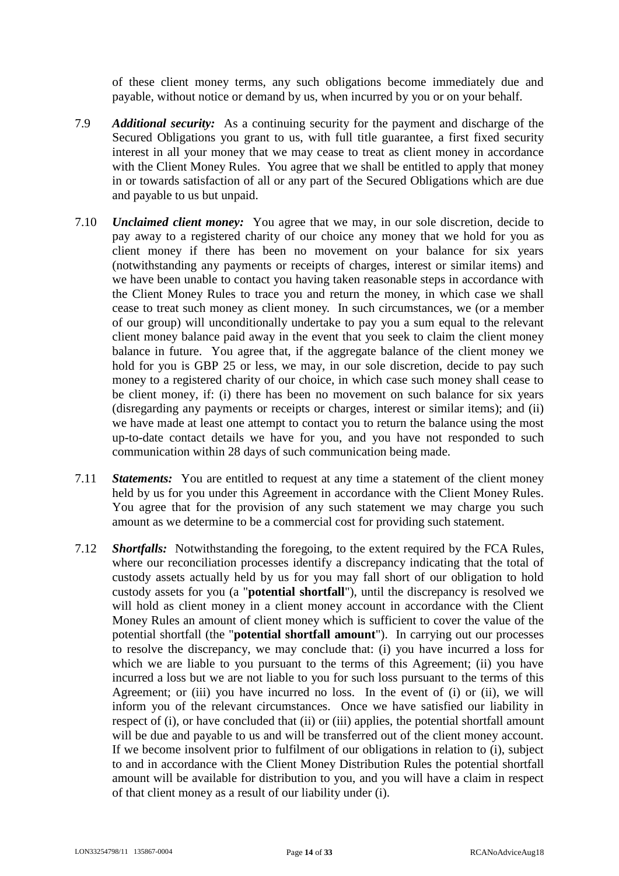of these client money terms, any such obligations become immediately due and payable, without notice or demand by us, when incurred by you or on your behalf.

- 7.9 *Additional security:* As a continuing security for the payment and discharge of the Secured Obligations you grant to us, with full title guarantee, a first fixed security interest in all your money that we may cease to treat as client money in accordance with the Client Money Rules. You agree that we shall be entitled to apply that money in or towards satisfaction of all or any part of the Secured Obligations which are due and payable to us but unpaid.
- 7.10 *Unclaimed client money:* You agree that we may, in our sole discretion, decide to pay away to a registered charity of our choice any money that we hold for you as client money if there has been no movement on your balance for six years (notwithstanding any payments or receipts of charges, interest or similar items) and we have been unable to contact you having taken reasonable steps in accordance with the Client Money Rules to trace you and return the money, in which case we shall cease to treat such money as client money. In such circumstances, we (or a member of our group) will unconditionally undertake to pay you a sum equal to the relevant client money balance paid away in the event that you seek to claim the client money balance in future. You agree that, if the aggregate balance of the client money we hold for you is GBP 25 or less, we may, in our sole discretion, decide to pay such money to a registered charity of our choice, in which case such money shall cease to be client money, if: (i) there has been no movement on such balance for six years (disregarding any payments or receipts or charges, interest or similar items); and (ii) we have made at least one attempt to contact you to return the balance using the most up-to-date contact details we have for you, and you have not responded to such communication within 28 days of such communication being made.
- 7.11 *Statements:* You are entitled to request at any time a statement of the client money held by us for you under this Agreement in accordance with the Client Money Rules. You agree that for the provision of any such statement we may charge you such amount as we determine to be a commercial cost for providing such statement.
- 7.12 *Shortfalls:* Notwithstanding the foregoing, to the extent required by the FCA Rules, where our reconciliation processes identify a discrepancy indicating that the total of custody assets actually held by us for you may fall short of our obligation to hold custody assets for you (a "**potential shortfall**"), until the discrepancy is resolved we will hold as client money in a client money account in accordance with the Client Money Rules an amount of client money which is sufficient to cover the value of the potential shortfall (the "**potential shortfall amount**"). In carrying out our processes to resolve the discrepancy, we may conclude that: (i) you have incurred a loss for which we are liable to you pursuant to the terms of this Agreement; (ii) you have incurred a loss but we are not liable to you for such loss pursuant to the terms of this Agreement; or (iii) you have incurred no loss. In the event of (i) or (ii), we will inform you of the relevant circumstances. Once we have satisfied our liability in respect of (i), or have concluded that (ii) or (iii) applies, the potential shortfall amount will be due and payable to us and will be transferred out of the client money account. If we become insolvent prior to fulfilment of our obligations in relation to (i), subject to and in accordance with the Client Money Distribution Rules the potential shortfall amount will be available for distribution to you, and you will have a claim in respect of that client money as a result of our liability under (i).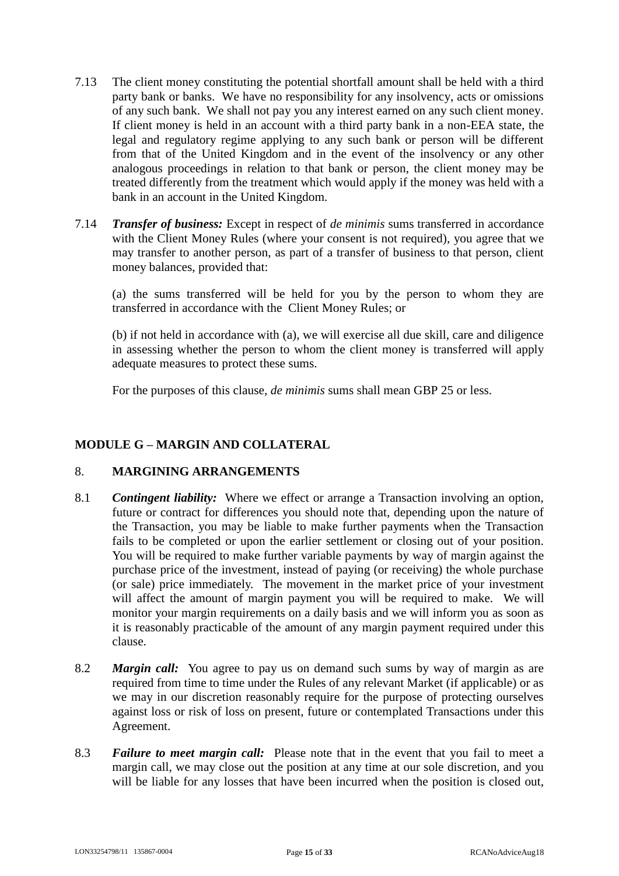- 7.13 The client money constituting the potential shortfall amount shall be held with a third party bank or banks. We have no responsibility for any insolvency, acts or omissions of any such bank. We shall not pay you any interest earned on any such client money. If client money is held in an account with a third party bank in a non-EEA state, the legal and regulatory regime applying to any such bank or person will be different from that of the United Kingdom and in the event of the insolvency or any other analogous proceedings in relation to that bank or person, the client money may be treated differently from the treatment which would apply if the money was held with a bank in an account in the United Kingdom.
- 7.14 *Transfer of business:* Except in respect of *de minimis* sums transferred in accordance with the Client Money Rules (where your consent is not required), you agree that we may transfer to another person, as part of a transfer of business to that person, client money balances, provided that:

(a) the sums transferred will be held for you by the person to whom they are transferred in accordance with the Client Money Rules; or

(b) if not held in accordance with (a), we will exercise all due skill, care and diligence in assessing whether the person to whom the client money is transferred will apply adequate measures to protect these sums.

For the purposes of this clause, *de minimis* sums shall mean GBP 25 or less.

### **MODULE G – MARGIN AND COLLATERAL**

#### 8. **MARGINING ARRANGEMENTS**

- 8.1 *Contingent liability:* Where we effect or arrange a Transaction involving an option, future or contract for differences you should note that, depending upon the nature of the Transaction, you may be liable to make further payments when the Transaction fails to be completed or upon the earlier settlement or closing out of your position. You will be required to make further variable payments by way of margin against the purchase price of the investment, instead of paying (or receiving) the whole purchase (or sale) price immediately. The movement in the market price of your investment will affect the amount of margin payment you will be required to make. We will monitor your margin requirements on a daily basis and we will inform you as soon as it is reasonably practicable of the amount of any margin payment required under this clause.
- 8.2 *Margin call:* You agree to pay us on demand such sums by way of margin as are required from time to time under the Rules of any relevant Market (if applicable) or as we may in our discretion reasonably require for the purpose of protecting ourselves against loss or risk of loss on present, future or contemplated Transactions under this Agreement.
- 8.3 *Failure to meet margin call:* Please note that in the event that you fail to meet a margin call, we may close out the position at any time at our sole discretion, and you will be liable for any losses that have been incurred when the position is closed out,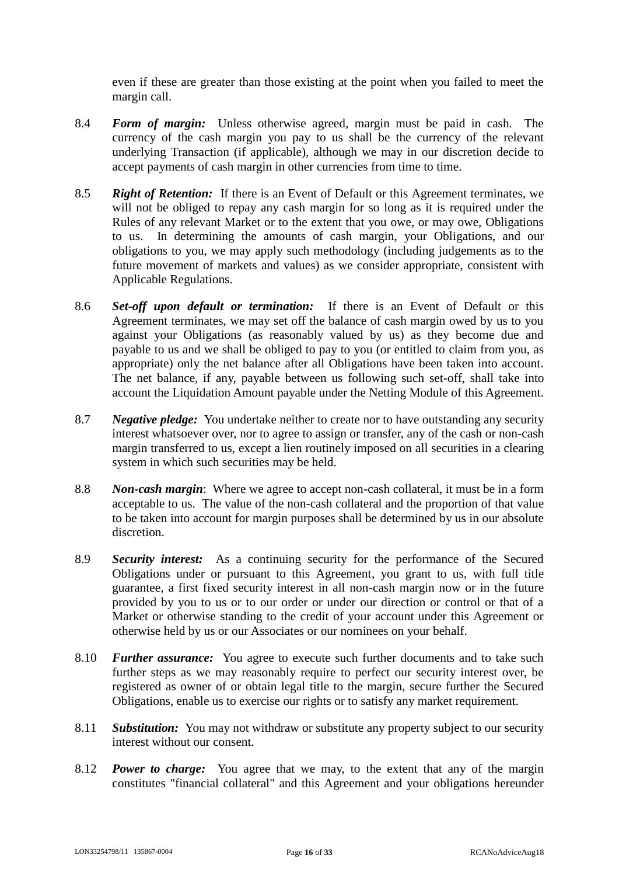even if these are greater than those existing at the point when you failed to meet the margin call.

- 8.4 *Form of margin:* Unless otherwise agreed, margin must be paid in cash. The currency of the cash margin you pay to us shall be the currency of the relevant underlying Transaction (if applicable), although we may in our discretion decide to accept payments of cash margin in other currencies from time to time.
- 8.5 *Right of Retention:* If there is an Event of Default or this Agreement terminates, we will not be obliged to repay any cash margin for so long as it is required under the Rules of any relevant Market or to the extent that you owe, or may owe, Obligations to us. In determining the amounts of cash margin, your Obligations, and our obligations to you, we may apply such methodology (including judgements as to the future movement of markets and values) as we consider appropriate, consistent with Applicable Regulations.
- 8.6 *Set-off upon default or termination:* If there is an Event of Default or this Agreement terminates, we may set off the balance of cash margin owed by us to you against your Obligations (as reasonably valued by us) as they become due and payable to us and we shall be obliged to pay to you (or entitled to claim from you, as appropriate) only the net balance after all Obligations have been taken into account. The net balance, if any, payable between us following such set-off, shall take into account the Liquidation Amount payable under the Netting Module of this Agreement.
- 8.7 *Negative pledge:* You undertake neither to create nor to have outstanding any security interest whatsoever over, nor to agree to assign or transfer, any of the cash or non-cash margin transferred to us, except a lien routinely imposed on all securities in a clearing system in which such securities may be held.
- 8.8 *Non-cash margin*: Where we agree to accept non-cash collateral, it must be in a form acceptable to us. The value of the non-cash collateral and the proportion of that value to be taken into account for margin purposes shall be determined by us in our absolute discretion.
- 8.9 *Security interest:* As a continuing security for the performance of the Secured Obligations under or pursuant to this Agreement, you grant to us, with full title guarantee, a first fixed security interest in all non-cash margin now or in the future provided by you to us or to our order or under our direction or control or that of a Market or otherwise standing to the credit of your account under this Agreement or otherwise held by us or our Associates or our nominees on your behalf.
- 8.10 *Further assurance:* You agree to execute such further documents and to take such further steps as we may reasonably require to perfect our security interest over, be registered as owner of or obtain legal title to the margin, secure further the Secured Obligations, enable us to exercise our rights or to satisfy any market requirement.
- 8.11 *Substitution:* You may not withdraw or substitute any property subject to our security interest without our consent.
- 8.12 *Power to charge:* You agree that we may, to the extent that any of the margin constitutes "financial collateral" and this Agreement and your obligations hereunder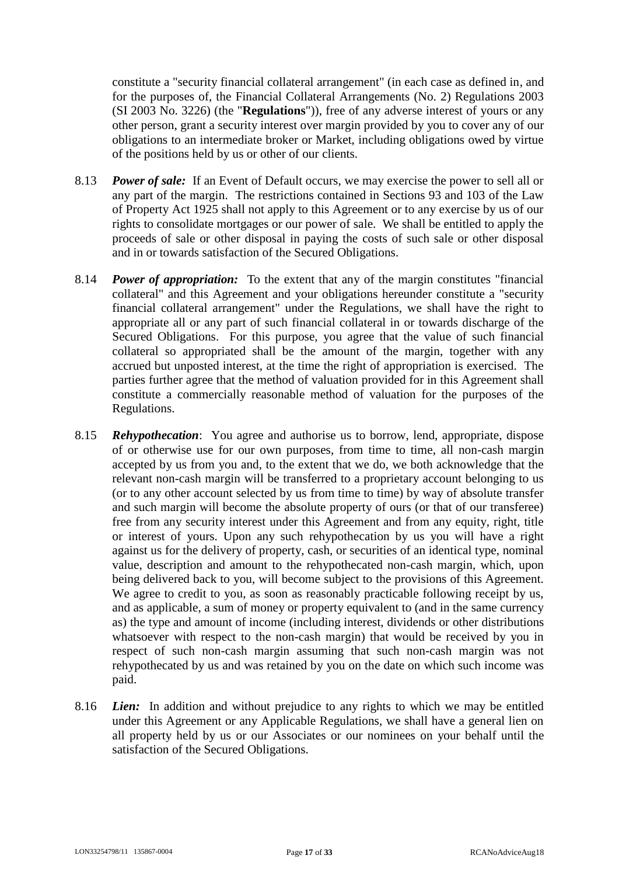constitute a "security financial collateral arrangement" (in each case as defined in, and for the purposes of, the Financial Collateral Arrangements (No. 2) Regulations 2003 (SI 2003 No. 3226) (the "**Regulations**")), free of any adverse interest of yours or any other person, grant a security interest over margin provided by you to cover any of our obligations to an intermediate broker or Market, including obligations owed by virtue of the positions held by us or other of our clients.

- 8.13 *Power of sale:* If an Event of Default occurs, we may exercise the power to sell all or any part of the margin. The restrictions contained in Sections 93 and 103 of the Law of Property Act 1925 shall not apply to this Agreement or to any exercise by us of our rights to consolidate mortgages or our power of sale. We shall be entitled to apply the proceeds of sale or other disposal in paying the costs of such sale or other disposal and in or towards satisfaction of the Secured Obligations.
- 8.14 *Power of appropriation:* To the extent that any of the margin constitutes "financial collateral" and this Agreement and your obligations hereunder constitute a "security financial collateral arrangement" under the Regulations, we shall have the right to appropriate all or any part of such financial collateral in or towards discharge of the Secured Obligations. For this purpose, you agree that the value of such financial collateral so appropriated shall be the amount of the margin, together with any accrued but unposted interest, at the time the right of appropriation is exercised. The parties further agree that the method of valuation provided for in this Agreement shall constitute a commercially reasonable method of valuation for the purposes of the Regulations.
- 8.15 *Rehypothecation*: You agree and authorise us to borrow, lend, appropriate, dispose of or otherwise use for our own purposes, from time to time, all non-cash margin accepted by us from you and, to the extent that we do, we both acknowledge that the relevant non-cash margin will be transferred to a proprietary account belonging to us (or to any other account selected by us from time to time) by way of absolute transfer and such margin will become the absolute property of ours (or that of our transferee) free from any security interest under this Agreement and from any equity, right, title or interest of yours. Upon any such rehypothecation by us you will have a right against us for the delivery of property, cash, or securities of an identical type, nominal value, description and amount to the rehypothecated non-cash margin, which, upon being delivered back to you, will become subject to the provisions of this Agreement. We agree to credit to you, as soon as reasonably practicable following receipt by us, and as applicable, a sum of money or property equivalent to (and in the same currency as) the type and amount of income (including interest, dividends or other distributions whatsoever with respect to the non-cash margin) that would be received by you in respect of such non-cash margin assuming that such non-cash margin was not rehypothecated by us and was retained by you on the date on which such income was paid.
- 8.16 *Lien:* In addition and without prejudice to any rights to which we may be entitled under this Agreement or any Applicable Regulations, we shall have a general lien on all property held by us or our Associates or our nominees on your behalf until the satisfaction of the Secured Obligations.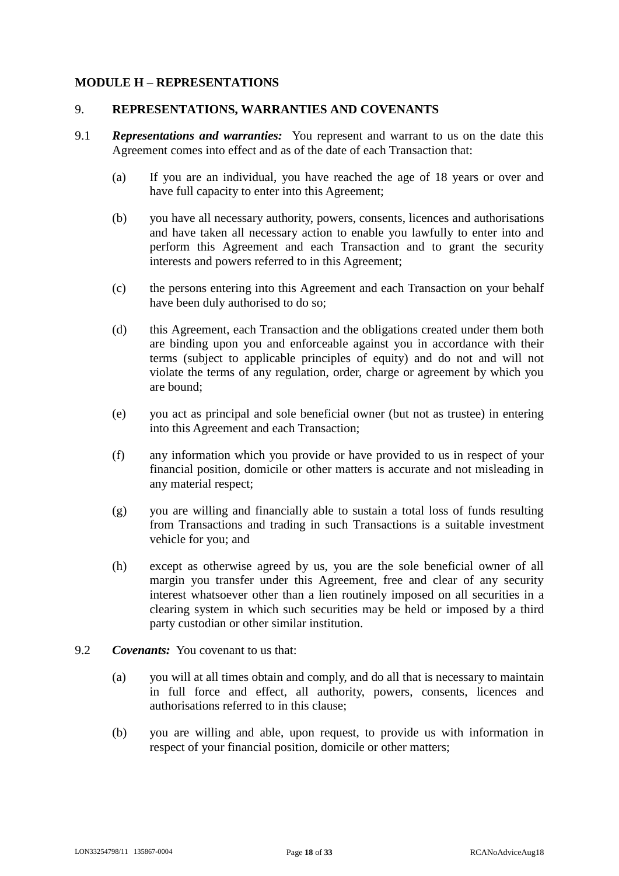### **MODULE H – REPRESENTATIONS**

#### 9. **REPRESENTATIONS, WARRANTIES AND COVENANTS**

- 9.1 *Representations and warranties:* You represent and warrant to us on the date this Agreement comes into effect and as of the date of each Transaction that:
	- (a) If you are an individual, you have reached the age of 18 years or over and have full capacity to enter into this Agreement;
	- (b) you have all necessary authority, powers, consents, licences and authorisations and have taken all necessary action to enable you lawfully to enter into and perform this Agreement and each Transaction and to grant the security interests and powers referred to in this Agreement;
	- (c) the persons entering into this Agreement and each Transaction on your behalf have been duly authorised to do so;
	- (d) this Agreement, each Transaction and the obligations created under them both are binding upon you and enforceable against you in accordance with their terms (subject to applicable principles of equity) and do not and will not violate the terms of any regulation, order, charge or agreement by which you are bound;
	- (e) you act as principal and sole beneficial owner (but not as trustee) in entering into this Agreement and each Transaction;
	- (f) any information which you provide or have provided to us in respect of your financial position, domicile or other matters is accurate and not misleading in any material respect;
	- (g) you are willing and financially able to sustain a total loss of funds resulting from Transactions and trading in such Transactions is a suitable investment vehicle for you; and
	- (h) except as otherwise agreed by us, you are the sole beneficial owner of all margin you transfer under this Agreement, free and clear of any security interest whatsoever other than a lien routinely imposed on all securities in a clearing system in which such securities may be held or imposed by a third party custodian or other similar institution.
- 9.2 *Covenants:* You covenant to us that:
	- (a) you will at all times obtain and comply, and do all that is necessary to maintain in full force and effect, all authority, powers, consents, licences and authorisations referred to in this clause;
	- (b) you are willing and able, upon request, to provide us with information in respect of your financial position, domicile or other matters;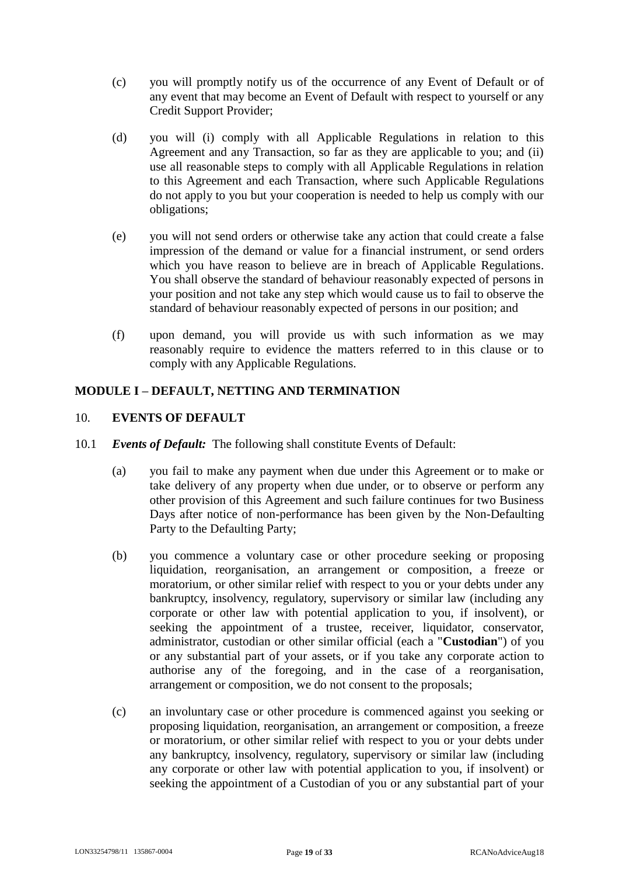- (c) you will promptly notify us of the occurrence of any Event of Default or of any event that may become an Event of Default with respect to yourself or any Credit Support Provider;
- (d) you will (i) comply with all Applicable Regulations in relation to this Agreement and any Transaction, so far as they are applicable to you; and (ii) use all reasonable steps to comply with all Applicable Regulations in relation to this Agreement and each Transaction, where such Applicable Regulations do not apply to you but your cooperation is needed to help us comply with our obligations;
- (e) you will not send orders or otherwise take any action that could create a false impression of the demand or value for a financial instrument, or send orders which you have reason to believe are in breach of Applicable Regulations. You shall observe the standard of behaviour reasonably expected of persons in your position and not take any step which would cause us to fail to observe the standard of behaviour reasonably expected of persons in our position; and
- (f) upon demand, you will provide us with such information as we may reasonably require to evidence the matters referred to in this clause or to comply with any Applicable Regulations.

# **MODULE I – DEFAULT, NETTING AND TERMINATION**

#### 10. **EVENTS OF DEFAULT**

- <span id="page-18-3"></span><span id="page-18-2"></span><span id="page-18-1"></span><span id="page-18-0"></span>10.1 *Events of Default:* The following shall constitute Events of Default:
	- (a) you fail to make any payment when due under this Agreement or to make or take delivery of any property when due under, or to observe or perform any other provision of this Agreement and such failure continues for two Business Days after notice of non-performance has been given by the Non-Defaulting Party to the Defaulting Party;
	- (b) you commence a voluntary case or other procedure seeking or proposing liquidation, reorganisation, an arrangement or composition, a freeze or moratorium, or other similar relief with respect to you or your debts under any bankruptcy, insolvency, regulatory, supervisory or similar law (including any corporate or other law with potential application to you, if insolvent), or seeking the appointment of a trustee, receiver, liquidator, conservator, administrator, custodian or other similar official (each a "**Custodian**") of you or any substantial part of your assets, or if you take any corporate action to authorise any of the foregoing, and in the case of a reorganisation, arrangement or composition, we do not consent to the proposals;
	- (c) an involuntary case or other procedure is commenced against you seeking or proposing liquidation, reorganisation, an arrangement or composition, a freeze or moratorium, or other similar relief with respect to you or your debts under any bankruptcy, insolvency, regulatory, supervisory or similar law (including any corporate or other law with potential application to you, if insolvent) or seeking the appointment of a Custodian of you or any substantial part of your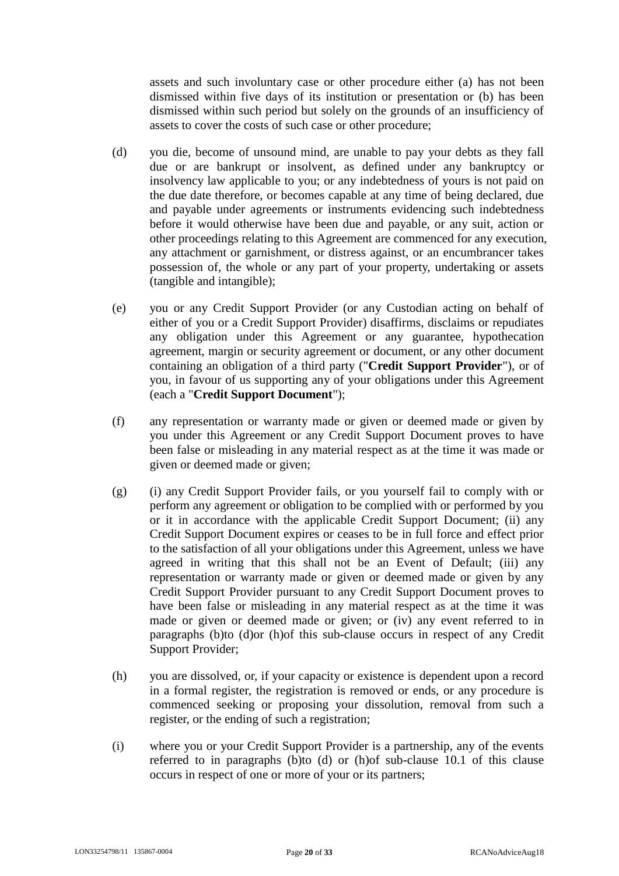assets and such involuntary case or other procedure either (a) has not been dismissed within five days of its institution or presentation or (b) has been dismissed within such period but solely on the grounds of an insufficiency of assets to cover the costs of such case or other procedure;

- <span id="page-19-0"></span>(d) you die, become of unsound mind, are unable to pay your debts as they fall due or are bankrupt or insolvent, as defined under any bankruptcy or insolvency law applicable to you; or any indebtedness of yours is not paid on the due date therefore, or becomes capable at any time of being declared, due and payable under agreements or instruments evidencing such indebtedness before it would otherwise have been due and payable, or any suit, action or other proceedings relating to this Agreement are commenced for any execution, any attachment or garnishment, or distress against, or an encumbrancer takes possession of, the whole or any part of your property, undertaking or assets (tangible and intangible);
- (e) you or any Credit Support Provider (or any Custodian acting on behalf of either of you or a Credit Support Provider) disaffirms, disclaims or repudiates any obligation under this Agreement or any guarantee, hypothecation agreement, margin or security agreement or document, or any other document containing an obligation of a third party ("**Credit Support Provider**"), or of you, in favour of us supporting any of your obligations under this Agreement (each a "**Credit Support Document**");
- (f) any representation or warranty made or given or deemed made or given by you under this Agreement or any Credit Support Document proves to have been false or misleading in any material respect as at the time it was made or given or deemed made or given;
- (g) (i) any Credit Support Provider fails, or you yourself fail to comply with or perform any agreement or obligation to be complied with or performed by you or it in accordance with the applicable Credit Support Document; (ii) any Credit Support Document expires or ceases to be in full force and effect prior to the satisfaction of all your obligations under this Agreement, unless we have agreed in writing that this shall not be an Event of Default; (iii) any representation or warranty made or given or deemed made or given by any Credit Support Provider pursuant to any Credit Support Document proves to have been false or misleading in any material respect as at the time it was made or given or deemed made or given; or (iv) any event referred to in paragraphs [\(b\)t](#page-18-0)o [\(d\)o](#page-19-0)r [\(h\)o](#page-19-1)f this sub-clause occurs in respect of any Credit Support Provider;
- <span id="page-19-1"></span>(h) you are dissolved, or, if your capacity or existence is dependent upon a record in a formal register, the registration is removed or ends, or any procedure is commenced seeking or proposing your dissolution, removal from such a register, or the ending of such a registration;
- (i) where you or your Credit Support Provider is a partnership, any of the events referred to in paragraphs [\(b\)t](#page-18-0)o [\(d\)](#page-19-0) or [\(h\)o](#page-19-1)f sub-clause [10.1](#page-18-1) of this clause occurs in respect of one or more of your or its partners;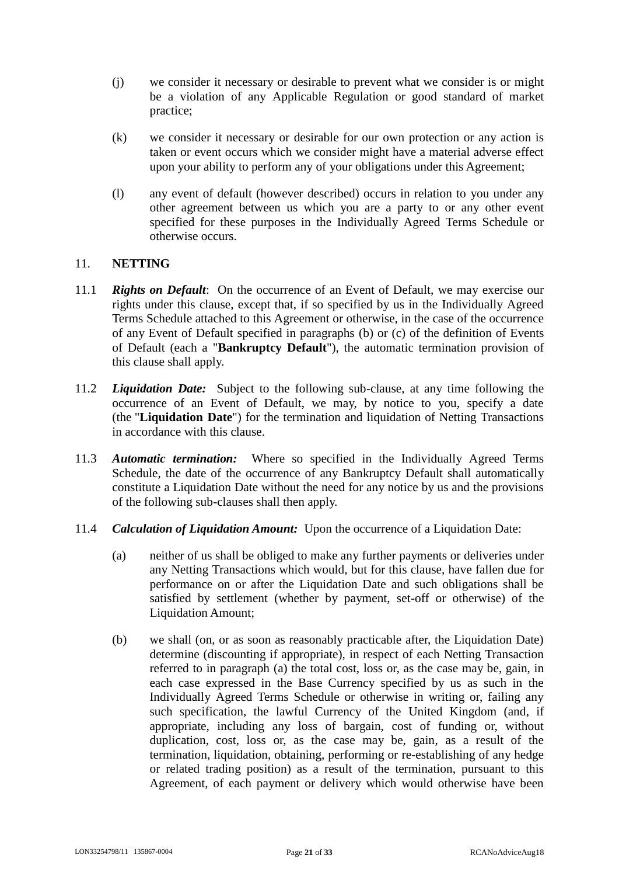- (j) we consider it necessary or desirable to prevent what we consider is or might be a violation of any Applicable Regulation or good standard of market practice;
- (k) we consider it necessary or desirable for our own protection or any action is taken or event occurs which we consider might have a material adverse effect upon your ability to perform any of your obligations under this Agreement;
- <span id="page-20-1"></span>(l) any event of default (however described) occurs in relation to you under any other agreement between us which you are a party to or any other event specified for these purposes in the Individually Agreed Terms Schedule or otherwise occurs.

#### 11. **NETTING**

- 11.1 *Rights on Default*: On the occurrence of an Event of Default, we may exercise our rights under this clause, except that, if so specified by us in the Individually Agreed Terms Schedule attached to this Agreement or otherwise, in the case of the occurrence of any Event of Default specified in paragraphs [\(b\)](#page-18-0) or [\(c\)](#page-18-2) of the definition of Events of Default (each a "**Bankruptcy Default**"), the automatic termination provision of this clause shall apply.
- 11.2 *Liquidation Date:* Subject to the following sub-clause, at any time following the occurrence of an Event of Default, we may, by notice to you, specify a date (the "**Liquidation Date**") for the termination and liquidation of Netting Transactions in accordance with this clause.
- 11.3 *Automatic termination:* Where so specified in the Individually Agreed Terms Schedule, the date of the occurrence of any Bankruptcy Default shall automatically constitute a Liquidation Date without the need for any notice by us and the provisions of the following sub-clauses shall then apply.
- <span id="page-20-0"></span>11.4 *Calculation of Liquidation Amount:* Upon the occurrence of a Liquidation Date:
	- (a) neither of us shall be obliged to make any further payments or deliveries under any Netting Transactions which would, but for this clause, have fallen due for performance on or after the Liquidation Date and such obligations shall be satisfied by settlement (whether by payment, set-off or otherwise) of the Liquidation Amount;
	- (b) we shall (on, or as soon as reasonably practicable after, the Liquidation Date) determine (discounting if appropriate), in respect of each Netting Transaction referred to in paragraph [\(a\)](#page-20-0) the total cost, loss or, as the case may be, gain, in each case expressed in the Base Currency specified by us as such in the Individually Agreed Terms Schedule or otherwise in writing or, failing any such specification, the lawful Currency of the United Kingdom (and, if appropriate, including any loss of bargain, cost of funding or, without duplication, cost, loss or, as the case may be, gain, as a result of the termination, liquidation, obtaining, performing or re-establishing of any hedge or related trading position) as a result of the termination, pursuant to this Agreement, of each payment or delivery which would otherwise have been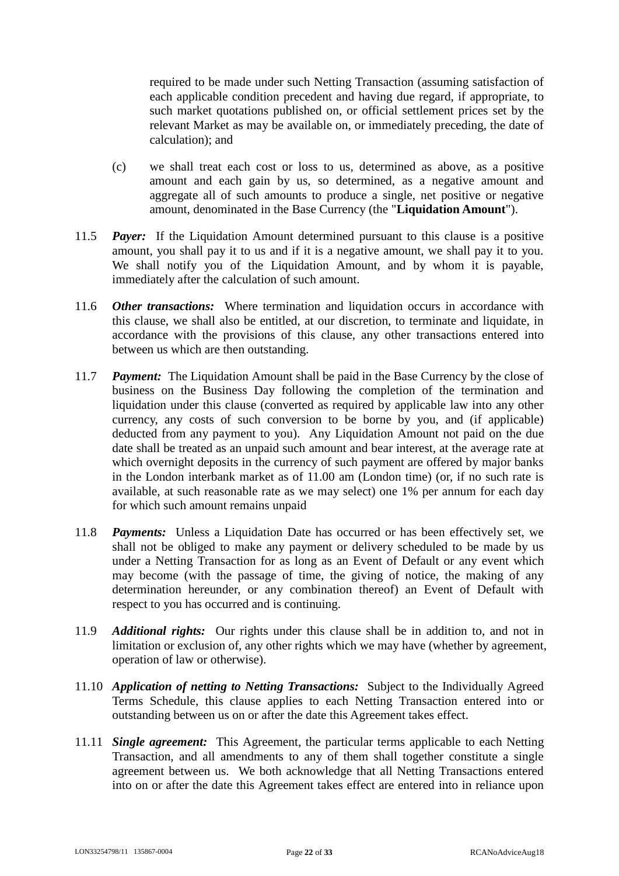required to be made under such Netting Transaction (assuming satisfaction of each applicable condition precedent and having due regard, if appropriate, to such market quotations published on, or official settlement prices set by the relevant Market as may be available on, or immediately preceding, the date of calculation); and

- (c) we shall treat each cost or loss to us, determined as above, as a positive amount and each gain by us, so determined, as a negative amount and aggregate all of such amounts to produce a single, net positive or negative amount, denominated in the Base Currency (the "**Liquidation Amount**").
- 11.5 *Payer:* If the Liquidation Amount determined pursuant to this clause is a positive amount, you shall pay it to us and if it is a negative amount, we shall pay it to you. We shall notify you of the Liquidation Amount, and by whom it is payable, immediately after the calculation of such amount.
- <span id="page-21-0"></span>11.6 *Other transactions:* Where termination and liquidation occurs in accordance with this clause, we shall also be entitled, at our discretion, to terminate and liquidate, in accordance with the provisions of this clause, any other transactions entered into between us which are then outstanding.
- 11.7 *Payment:* The Liquidation Amount shall be paid in the Base Currency by the close of business on the Business Day following the completion of the termination and liquidation under this clause (converted as required by applicable law into any other currency, any costs of such conversion to be borne by you, and (if applicable) deducted from any payment to you). Any Liquidation Amount not paid on the due date shall be treated as an unpaid such amount and bear interest, at the average rate at which overnight deposits in the currency of such payment are offered by major banks in the London interbank market as of 11.00 am (London time) (or, if no such rate is available, at such reasonable rate as we may select) one 1% per annum for each day for which such amount remains unpaid
- 11.8 *Payments:* Unless a Liquidation Date has occurred or has been effectively set, we shall not be obliged to make any payment or delivery scheduled to be made by us under a Netting Transaction for as long as an Event of Default or any event which may become (with the passage of time, the giving of notice, the making of any determination hereunder, or any combination thereof) an Event of Default with respect to you has occurred and is continuing.
- 11.9 *Additional rights:* Our rights under this clause shall be in addition to, and not in limitation or exclusion of, any other rights which we may have (whether by agreement, operation of law or otherwise).
- 11.10 *Application of netting to Netting Transactions:* Subject to the Individually Agreed Terms Schedule, this clause applies to each Netting Transaction entered into or outstanding between us on or after the date this Agreement takes effect.
- 11.11 *Single agreement:* This Agreement, the particular terms applicable to each Netting Transaction, and all amendments to any of them shall together constitute a single agreement between us. We both acknowledge that all Netting Transactions entered into on or after the date this Agreement takes effect are entered into in reliance upon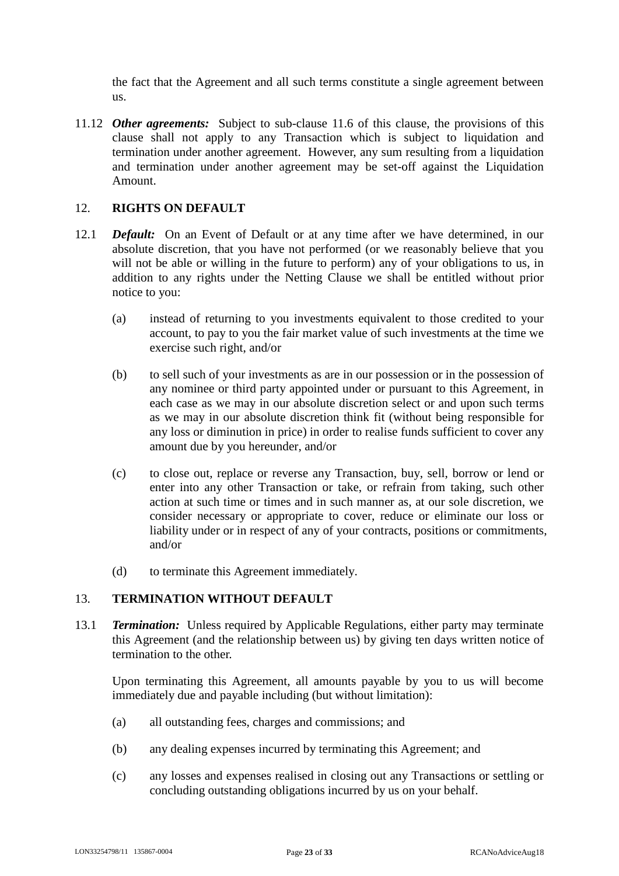the fact that the Agreement and all such terms constitute a single agreement between us.

11.12 *Other agreements:* Subject to sub-clause [11.6](#page-21-0) of this clause, the provisions of this clause shall not apply to any Transaction which is subject to liquidation and termination under another agreement. However, any sum resulting from a liquidation and termination under another agreement may be set-off against the Liquidation Amount.

# 12. **RIGHTS ON DEFAULT**

- 12.1 *Default:* On an Event of Default or at any time after we have determined, in our absolute discretion, that you have not performed (or we reasonably believe that you will not be able or willing in the future to perform) any of your obligations to us, in addition to any rights under the Netting Clause we shall be entitled without prior notice to you:
	- (a) instead of returning to you investments equivalent to those credited to your account, to pay to you the fair market value of such investments at the time we exercise such right, and/or
	- (b) to sell such of your investments as are in our possession or in the possession of any nominee or third party appointed under or pursuant to this Agreement, in each case as we may in our absolute discretion select or and upon such terms as we may in our absolute discretion think fit (without being responsible for any loss or diminution in price) in order to realise funds sufficient to cover any amount due by you hereunder, and/or
	- (c) to close out, replace or reverse any Transaction, buy, sell, borrow or lend or enter into any other Transaction or take, or refrain from taking, such other action at such time or times and in such manner as, at our sole discretion, we consider necessary or appropriate to cover, reduce or eliminate our loss or liability under or in respect of any of your contracts, positions or commitments, and/or
	- (d) to terminate this Agreement immediately.

# 13. **TERMINATION WITHOUT DEFAULT**

13.1 *Termination:* Unless required by Applicable Regulations, either party may terminate this Agreement (and the relationship between us) by giving ten days written notice of termination to the other.

Upon terminating this Agreement, all amounts payable by you to us will become immediately due and payable including (but without limitation):

- (a) all outstanding fees, charges and commissions; and
- (b) any dealing expenses incurred by terminating this Agreement; and
- (c) any losses and expenses realised in closing out any Transactions or settling or concluding outstanding obligations incurred by us on your behalf.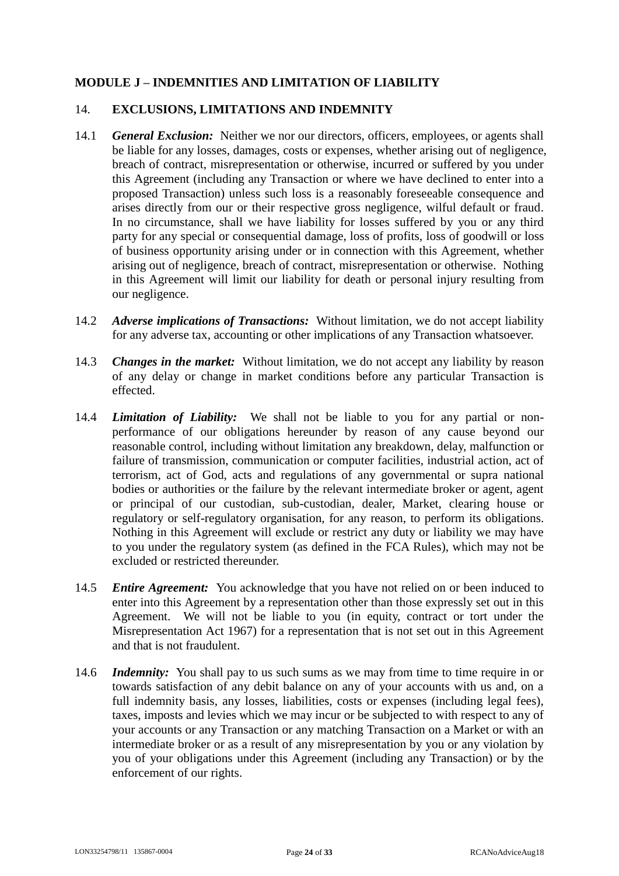# **MODULE J – INDEMNITIES AND LIMITATION OF LIABILITY**

#### 14. **EXCLUSIONS, LIMITATIONS AND INDEMNITY**

- 14.1 *General Exclusion:* Neither we nor our directors, officers, employees, or agents shall be liable for any losses, damages, costs or expenses, whether arising out of negligence, breach of contract, misrepresentation or otherwise, incurred or suffered by you under this Agreement (including any Transaction or where we have declined to enter into a proposed Transaction) unless such loss is a reasonably foreseeable consequence and arises directly from our or their respective gross negligence, wilful default or fraud. In no circumstance, shall we have liability for losses suffered by you or any third party for any special or consequential damage, loss of profits, loss of goodwill or loss of business opportunity arising under or in connection with this Agreement, whether arising out of negligence, breach of contract, misrepresentation or otherwise. Nothing in this Agreement will limit our liability for death or personal injury resulting from our negligence.
- 14.2 *Adverse implications of Transactions:* Without limitation, we do not accept liability for any adverse tax, accounting or other implications of any Transaction whatsoever.
- 14.3 *Changes in the market:* Without limitation, we do not accept any liability by reason of any delay or change in market conditions before any particular Transaction is effected.
- 14.4 *Limitation of Liability:* We shall not be liable to you for any partial or nonperformance of our obligations hereunder by reason of any cause beyond our reasonable control, including without limitation any breakdown, delay, malfunction or failure of transmission, communication or computer facilities, industrial action, act of terrorism, act of God, acts and regulations of any governmental or supra national bodies or authorities or the failure by the relevant intermediate broker or agent, agent or principal of our custodian, sub-custodian, dealer, Market, clearing house or regulatory or self-regulatory organisation, for any reason, to perform its obligations. Nothing in this Agreement will exclude or restrict any duty or liability we may have to you under the regulatory system (as defined in the FCA Rules), which may not be excluded or restricted thereunder.
- 14.5 *Entire Agreement:* You acknowledge that you have not relied on or been induced to enter into this Agreement by a representation other than those expressly set out in this Agreement. We will not be liable to you (in equity, contract or tort under the Misrepresentation Act 1967) for a representation that is not set out in this Agreement and that is not fraudulent.
- 14.6 *Indemnity:* You shall pay to us such sums as we may from time to time require in or towards satisfaction of any debit balance on any of your accounts with us and, on a full indemnity basis, any losses, liabilities, costs or expenses (including legal fees), taxes, imposts and levies which we may incur or be subjected to with respect to any of your accounts or any Transaction or any matching Transaction on a Market or with an intermediate broker or as a result of any misrepresentation by you or any violation by you of your obligations under this Agreement (including any Transaction) or by the enforcement of our rights.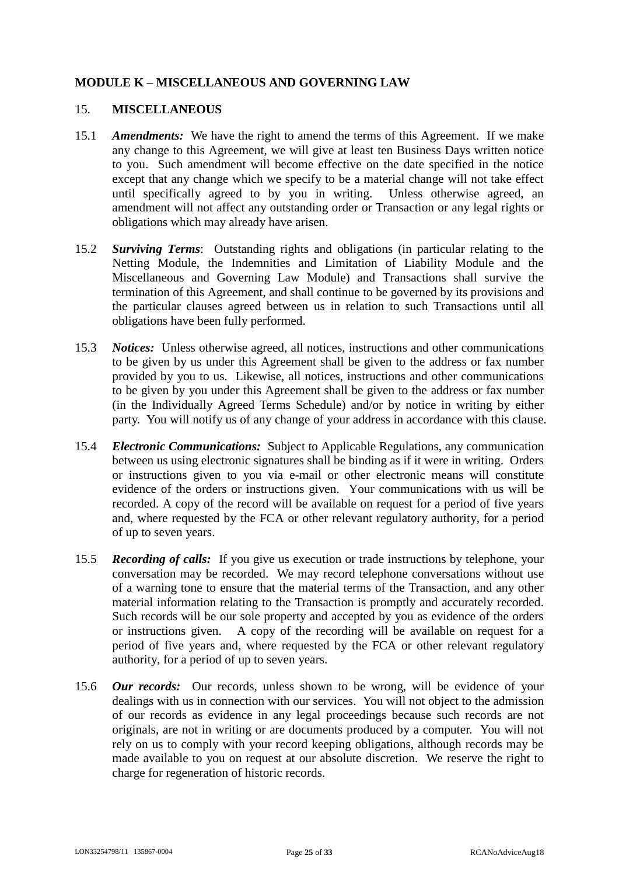# **MODULE K – MISCELLANEOUS AND GOVERNING LAW**

#### 15. **MISCELLANEOUS**

- 15.1 *Amendments:* We have the right to amend the terms of this Agreement. If we make any change to this Agreement, we will give at least ten Business Days written notice to you. Such amendment will become effective on the date specified in the notice except that any change which we specify to be a material change will not take effect until specifically agreed to by you in writing. Unless otherwise agreed, an amendment will not affect any outstanding order or Transaction or any legal rights or obligations which may already have arisen.
- 15.2 *Surviving Terms*: Outstanding rights and obligations (in particular relating to the Netting Module, the Indemnities and Limitation of Liability Module and the Miscellaneous and Governing Law Module) and Transactions shall survive the termination of this Agreement, and shall continue to be governed by its provisions and the particular clauses agreed between us in relation to such Transactions until all obligations have been fully performed.
- 15.3 *Notices:* Unless otherwise agreed, all notices, instructions and other communications to be given by us under this Agreement shall be given to the address or fax number provided by you to us. Likewise, all notices, instructions and other communications to be given by you under this Agreement shall be given to the address or fax number (in the Individually Agreed Terms Schedule) and/or by notice in writing by either party. You will notify us of any change of your address in accordance with this clause.
- 15.4 *Electronic Communications:* Subject to Applicable Regulations, any communication between us using electronic signatures shall be binding as if it were in writing. Orders or instructions given to you via e-mail or other electronic means will constitute evidence of the orders or instructions given. Your communications with us will be recorded. A copy of the record will be available on request for a period of five years and, where requested by the FCA or other relevant regulatory authority, for a period of up to seven years.
- 15.5 *Recording of calls:* If you give us execution or trade instructions by telephone, your conversation may be recorded. We may record telephone conversations without use of a warning tone to ensure that the material terms of the Transaction, and any other material information relating to the Transaction is promptly and accurately recorded. Such records will be our sole property and accepted by you as evidence of the orders or instructions given. A copy of the recording will be available on request for a period of five years and, where requested by the FCA or other relevant regulatory authority, for a period of up to seven years.
- 15.6 *Our records:* Our records, unless shown to be wrong, will be evidence of your dealings with us in connection with our services. You will not object to the admission of our records as evidence in any legal proceedings because such records are not originals, are not in writing or are documents produced by a computer. You will not rely on us to comply with your record keeping obligations, although records may be made available to you on request at our absolute discretion. We reserve the right to charge for regeneration of historic records.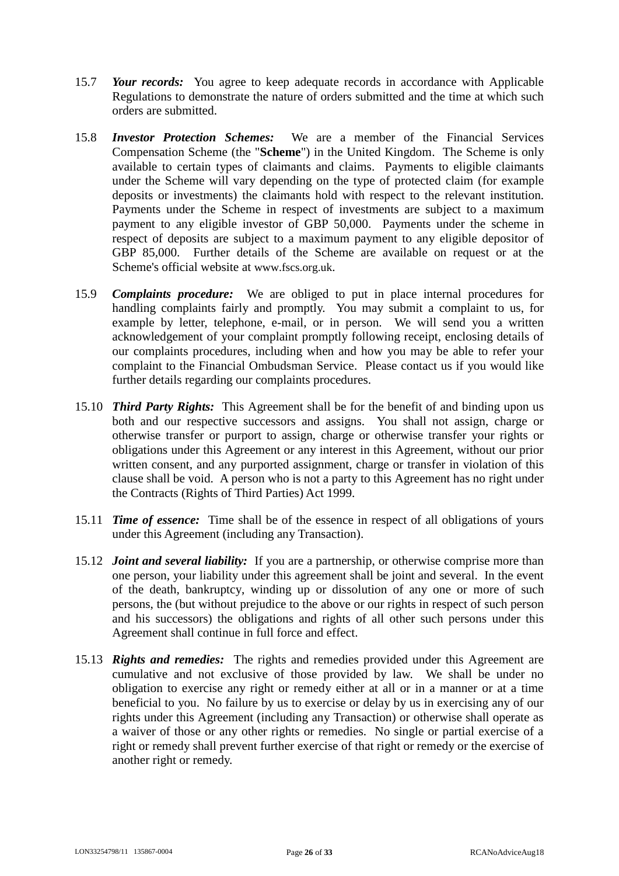- 15.7 *Your records:* You agree to keep adequate records in accordance with Applicable Regulations to demonstrate the nature of orders submitted and the time at which such orders are submitted.
- 15.8 *Investor Protection Schemes:* We are a member of the Financial Services Compensation Scheme (the "**Scheme**") in the United Kingdom. The Scheme is only available to certain types of claimants and claims. Payments to eligible claimants under the Scheme will vary depending on the type of protected claim (for example deposits or investments) the claimants hold with respect to the relevant institution. Payments under the Scheme in respect of investments are subject to a maximum payment to any eligible investor of GBP 50,000. Payments under the scheme in respect of deposits are subject to a maximum payment to any eligible depositor of GBP 85,000. Further details of the Scheme are available on request or at the Scheme's official website at www.fscs.org.uk.
- 15.9 *Complaints procedure:* We are obliged to put in place internal procedures for handling complaints fairly and promptly. You may submit a complaint to us, for example by letter, telephone, e-mail, or in person. We will send you a written acknowledgement of your complaint promptly following receipt, enclosing details of our complaints procedures, including when and how you may be able to refer your complaint to the Financial Ombudsman Service. Please contact us if you would like further details regarding our complaints procedures.
- 15.10 *Third Party Rights:* This Agreement shall be for the benefit of and binding upon us both and our respective successors and assigns. You shall not assign, charge or otherwise transfer or purport to assign, charge or otherwise transfer your rights or obligations under this Agreement or any interest in this Agreement, without our prior written consent, and any purported assignment, charge or transfer in violation of this clause shall be void. A person who is not a party to this Agreement has no right under the Contracts (Rights of Third Parties) Act 1999.
- 15.11 *Time of essence:* Time shall be of the essence in respect of all obligations of yours under this Agreement (including any Transaction).
- 15.12 *Joint and several liability:* If you are a partnership, or otherwise comprise more than one person, your liability under this agreement shall be joint and several. In the event of the death, bankruptcy, winding up or dissolution of any one or more of such persons, the (but without prejudice to the above or our rights in respect of such person and his successors) the obligations and rights of all other such persons under this Agreement shall continue in full force and effect.
- 15.13 *Rights and remedies:* The rights and remedies provided under this Agreement are cumulative and not exclusive of those provided by law. We shall be under no obligation to exercise any right or remedy either at all or in a manner or at a time beneficial to you. No failure by us to exercise or delay by us in exercising any of our rights under this Agreement (including any Transaction) or otherwise shall operate as a waiver of those or any other rights or remedies. No single or partial exercise of a right or remedy shall prevent further exercise of that right or remedy or the exercise of another right or remedy.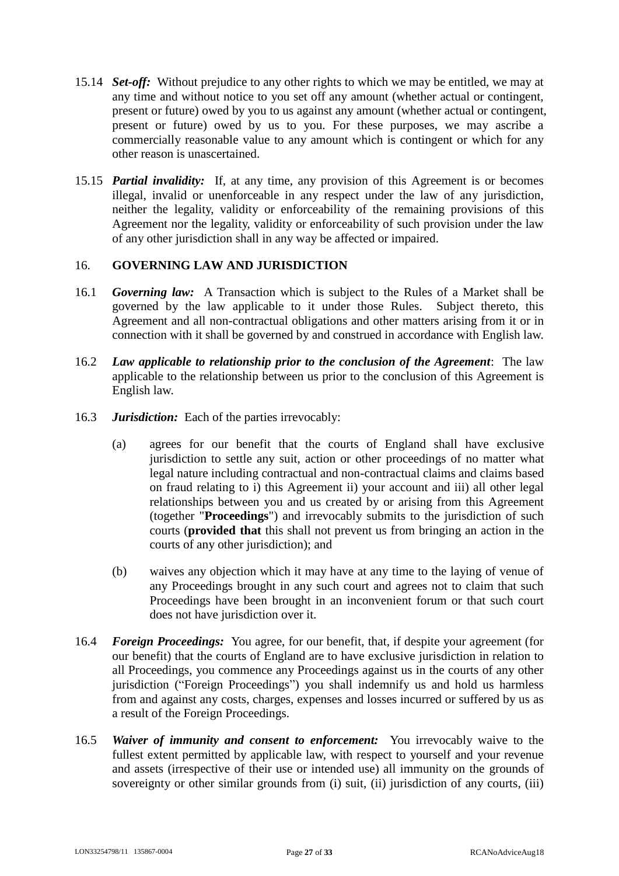- 15.14 *Set-off:* Without prejudice to any other rights to which we may be entitled, we may at any time and without notice to you set off any amount (whether actual or contingent, present or future) owed by you to us against any amount (whether actual or contingent, present or future) owed by us to you. For these purposes, we may ascribe a commercially reasonable value to any amount which is contingent or which for any other reason is unascertained.
- 15.15 *Partial invalidity:* If, at any time, any provision of this Agreement is or becomes illegal, invalid or unenforceable in any respect under the law of any jurisdiction, neither the legality, validity or enforceability of the remaining provisions of this Agreement nor the legality, validity or enforceability of such provision under the law of any other jurisdiction shall in any way be affected or impaired.

# 16. **GOVERNING LAW AND JURISDICTION**

- 16.1 *Governing law:* A Transaction which is subject to the Rules of a Market shall be governed by the law applicable to it under those Rules. Subject thereto, this Agreement and all non-contractual obligations and other matters arising from it or in connection with it shall be governed by and construed in accordance with English law.
- 16.2 *Law applicable to relationship prior to the conclusion of the Agreement*: The law applicable to the relationship between us prior to the conclusion of this Agreement is English law.
- 16.3 *Jurisdiction:* Each of the parties irrevocably:
	- (a) agrees for our benefit that the courts of England shall have exclusive jurisdiction to settle any suit, action or other proceedings of no matter what legal nature including contractual and non-contractual claims and claims based on fraud relating to i) this Agreement ii) your account and iii) all other legal relationships between you and us created by or arising from this Agreement (together "**Proceedings**") and irrevocably submits to the jurisdiction of such courts (**provided that** this shall not prevent us from bringing an action in the courts of any other jurisdiction); and
	- (b) waives any objection which it may have at any time to the laying of venue of any Proceedings brought in any such court and agrees not to claim that such Proceedings have been brought in an inconvenient forum or that such court does not have jurisdiction over it.
- 16.4 *Foreign Proceedings:* You agree, for our benefit, that, if despite your agreement (for our benefit) that the courts of England are to have exclusive jurisdiction in relation to all Proceedings, you commence any Proceedings against us in the courts of any other jurisdiction ("Foreign Proceedings") you shall indemnify us and hold us harmless from and against any costs, charges, expenses and losses incurred or suffered by us as a result of the Foreign Proceedings.
- 16.5 *Waiver of immunity and consent to enforcement:* You irrevocably waive to the fullest extent permitted by applicable law, with respect to yourself and your revenue and assets (irrespective of their use or intended use) all immunity on the grounds of sovereignty or other similar grounds from (i) suit, (ii) jurisdiction of any courts, (iii)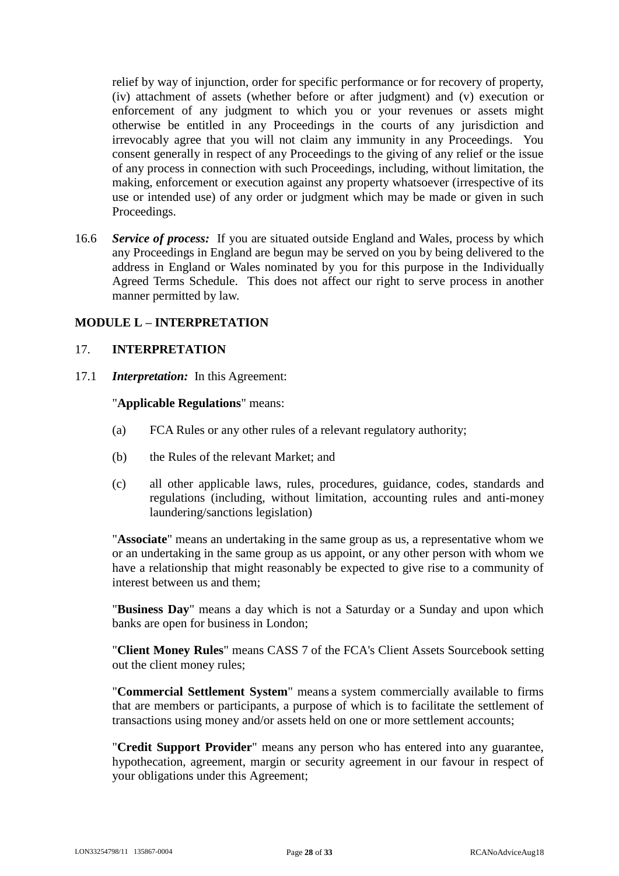relief by way of injunction, order for specific performance or for recovery of property, (iv) attachment of assets (whether before or after judgment) and (v) execution or enforcement of any judgment to which you or your revenues or assets might otherwise be entitled in any Proceedings in the courts of any jurisdiction and irrevocably agree that you will not claim any immunity in any Proceedings. You consent generally in respect of any Proceedings to the giving of any relief or the issue of any process in connection with such Proceedings, including, without limitation, the making, enforcement or execution against any property whatsoever (irrespective of its use or intended use) of any order or judgment which may be made or given in such Proceedings.

16.6 *Service of process:* If you are situated outside England and Wales, process by which any Proceedings in England are begun may be served on you by being delivered to the address in England or Wales nominated by you for this purpose in the Individually Agreed Terms Schedule. This does not affect our right to serve process in another manner permitted by law.

# **MODULE L – INTERPRETATION**

### 17. **INTERPRETATION**

17.1 *Interpretation:* In this Agreement:

#### "**Applicable Regulations**" means:

- (a) FCA Rules or any other rules of a relevant regulatory authority;
- (b) the Rules of the relevant Market; and
- (c) all other applicable laws, rules, procedures, guidance, codes, standards and regulations (including, without limitation, accounting rules and anti-money laundering/sanctions legislation)

"**Associate**" means an undertaking in the same group as us, a representative whom we or an undertaking in the same group as us appoint, or any other person with whom we have a relationship that might reasonably be expected to give rise to a community of interest between us and them;

"**Business Day**" means a day which is not a Saturday or a Sunday and upon which banks are open for business in London;

"**Client Money Rules**" means CASS 7 of the FCA's Client Assets Sourcebook setting out the client money rules;

"**Commercial Settlement System**" means a system commercially available to firms that are members or participants, a purpose of which is to facilitate the settlement of transactions using money and/or assets held on one or more settlement accounts;

"**Credit Support Provider**" means any person who has entered into any guarantee, hypothecation, agreement, margin or security agreement in our favour in respect of your obligations under this Agreement;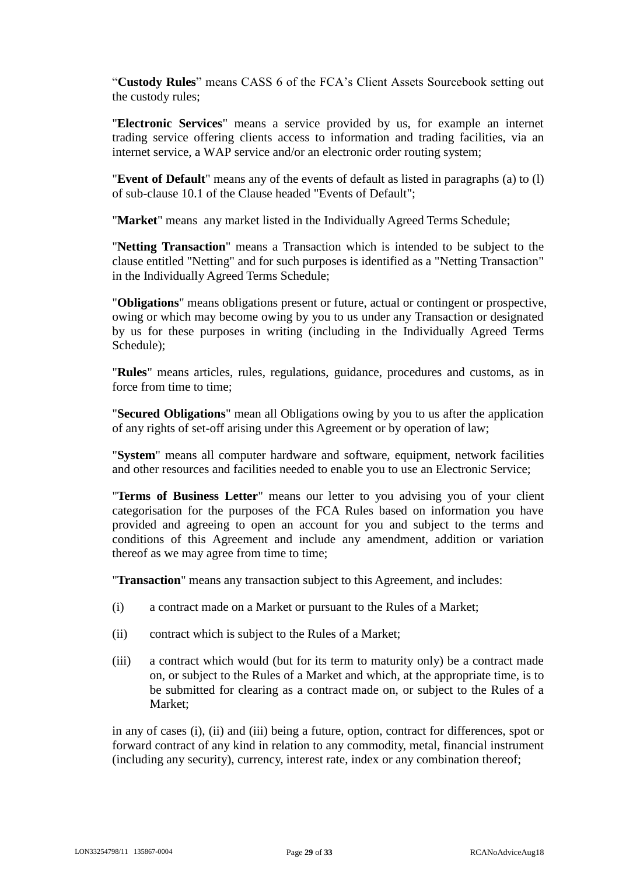"**Custody Rules**" means CASS 6 of the FCA's Client Assets Sourcebook setting out the custody rules;

"**Electronic Services**" means a service provided by us, for example an internet trading service offering clients access to information and trading facilities, via an internet service, a WAP service and/or an electronic order routing system;

"**Event of Default**" means any of the events of default as listed in paragraphs [\(a\)](#page-18-3) to [\(l\)](#page-20-1) of sub-clause [10.1](#page-18-1) of the Clause headed "Events of Default";

"**Market**" means any market listed in the Individually Agreed Terms Schedule;

"**Netting Transaction**" means a Transaction which is intended to be subject to the clause entitled "Netting" and for such purposes is identified as a "Netting Transaction" in the Individually Agreed Terms Schedule;

"**Obligations**" means obligations present or future, actual or contingent or prospective, owing or which may become owing by you to us under any Transaction or designated by us for these purposes in writing (including in the Individually Agreed Terms Schedule);

"**Rules**" means articles, rules, regulations, guidance, procedures and customs, as in force from time to time;

"**Secured Obligations**" mean all Obligations owing by you to us after the application of any rights of set-off arising under this Agreement or by operation of law;

"**System**" means all computer hardware and software, equipment, network facilities and other resources and facilities needed to enable you to use an Electronic Service;

"**Terms of Business Letter**" means our letter to you advising you of your client categorisation for the purposes of the FCA Rules based on information you have provided and agreeing to open an account for you and subject to the terms and conditions of this Agreement and include any amendment, addition or variation thereof as we may agree from time to time;

"**Transaction**" means any transaction subject to this Agreement, and includes:

- <span id="page-28-0"></span>(i) a contract made on a Market or pursuant to the Rules of a Market;
- <span id="page-28-1"></span>(ii) contract which is subject to the Rules of a Market;
- <span id="page-28-2"></span>(iii) a contract which would (but for its term to maturity only) be a contract made on, or subject to the Rules of a Market and which, at the appropriate time, is to be submitted for clearing as a contract made on, or subject to the Rules of a Market;

in any of cases [\(i\),](#page-28-0) [\(ii\)](#page-28-1) and [\(iii\)](#page-28-2) being a future, option, contract for differences, spot or forward contract of any kind in relation to any commodity, metal, financial instrument (including any security), currency, interest rate, index or any combination thereof;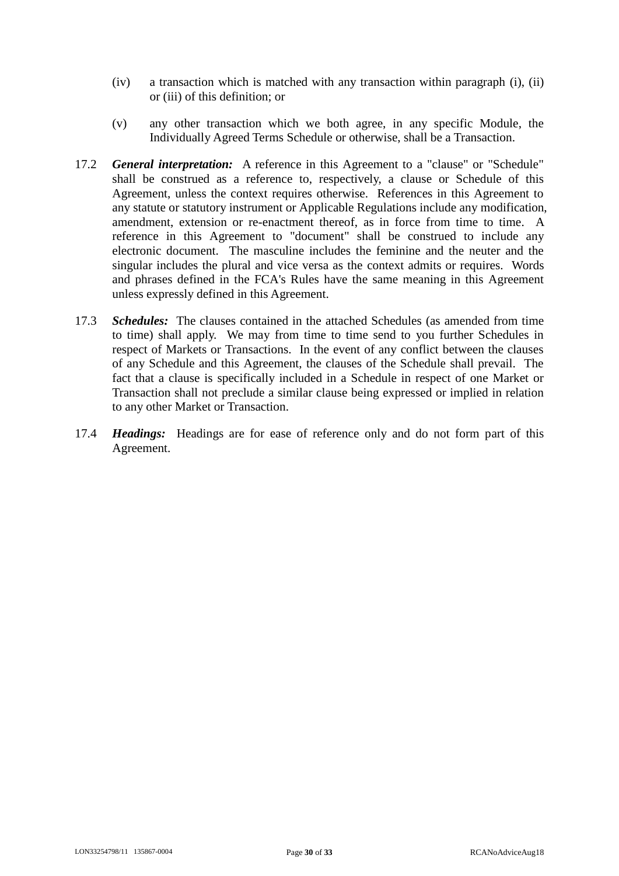- (iv) a transaction which is matched with any transaction within paragraph [\(i\),](#page-28-0) [\(ii\)](#page-28-1) or [\(iii\)](#page-28-2) of this definition; or
- <span id="page-29-0"></span>(v) any other transaction which we both agree, in any specific Module, the Individually Agreed Terms Schedule or otherwise, shall be a Transaction.
- 17.2 *General interpretation:* A reference in this Agreement to a "clause" or "Schedule" shall be construed as a reference to, respectively, a clause or Schedule of this Agreement, unless the context requires otherwise. References in this Agreement to any statute or statutory instrument or Applicable Regulations include any modification, amendment, extension or re-enactment thereof, as in force from time to time. A reference in this Agreement to "document" shall be construed to include any electronic document. The masculine includes the feminine and the neuter and the singular includes the plural and vice versa as the context admits or requires. Words and phrases defined in the FCA's Rules have the same meaning in this Agreement unless expressly defined in this Agreement.
- 17.3 *Schedules:* The clauses contained in the attached Schedules (as amended from time to time) shall apply. We may from time to time send to you further Schedules in respect of Markets or Transactions. In the event of any conflict between the clauses of any Schedule and this Agreement, the clauses of the Schedule shall prevail. The fact that a clause is specifically included in a Schedule in respect of one Market or Transaction shall not preclude a similar clause being expressed or implied in relation to any other Market or Transaction.
- 17.4 *Headings:* Headings are for ease of reference only and do not form part of this Agreement.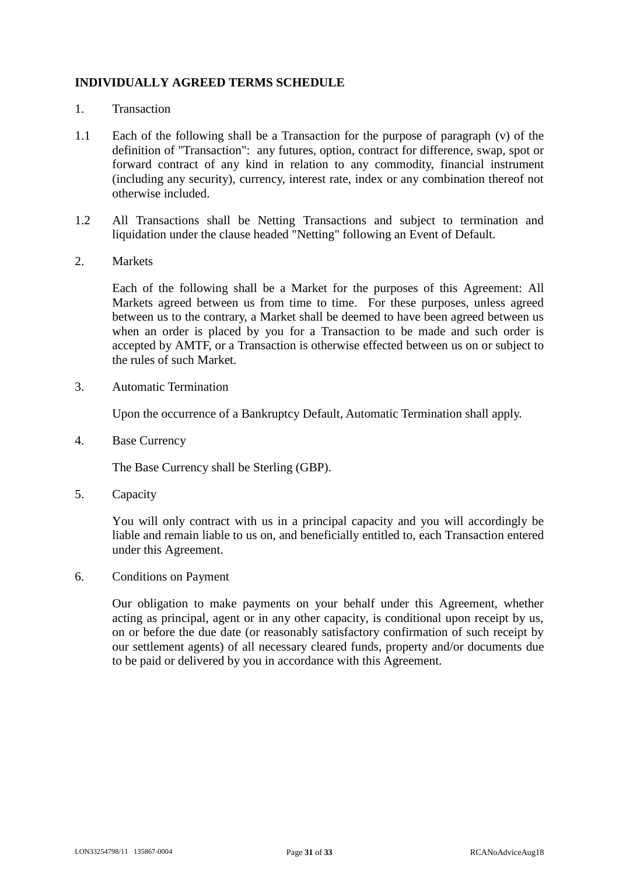# **INDIVIDUALLY AGREED TERMS SCHEDULE**

- 1. Transaction
- 1.1 Each of the following shall be a Transaction for the purpose of paragraph [\(v\)](#page-29-0) of the definition of "Transaction": any futures, option, contract for difference, swap, spot or forward contract of any kind in relation to any commodity, financial instrument (including any security), currency, interest rate, index or any combination thereof not otherwise included.
- 1.2 All Transactions shall be Netting Transactions and subject to termination and liquidation under the clause headed "Netting" following an Event of Default.
- 2. Markets

Each of the following shall be a Market for the purposes of this Agreement: All Markets agreed between us from time to time. For these purposes, unless agreed between us to the contrary, a Market shall be deemed to have been agreed between us when an order is placed by you for a Transaction to be made and such order is accepted by AMTF, or a Transaction is otherwise effected between us on or subject to the rules of such Market.

3. Automatic Termination

Upon the occurrence of a Bankruptcy Default, Automatic Termination shall apply.

4. Base Currency

The Base Currency shall be Sterling (GBP).

5. Capacity

You will only contract with us in a principal capacity and you will accordingly be liable and remain liable to us on, and beneficially entitled to, each Transaction entered under this Agreement.

6. Conditions on Payment

Our obligation to make payments on your behalf under this Agreement, whether acting as principal, agent or in any other capacity, is conditional upon receipt by us, on or before the due date (or reasonably satisfactory confirmation of such receipt by our settlement agents) of all necessary cleared funds, property and/or documents due to be paid or delivered by you in accordance with this Agreement.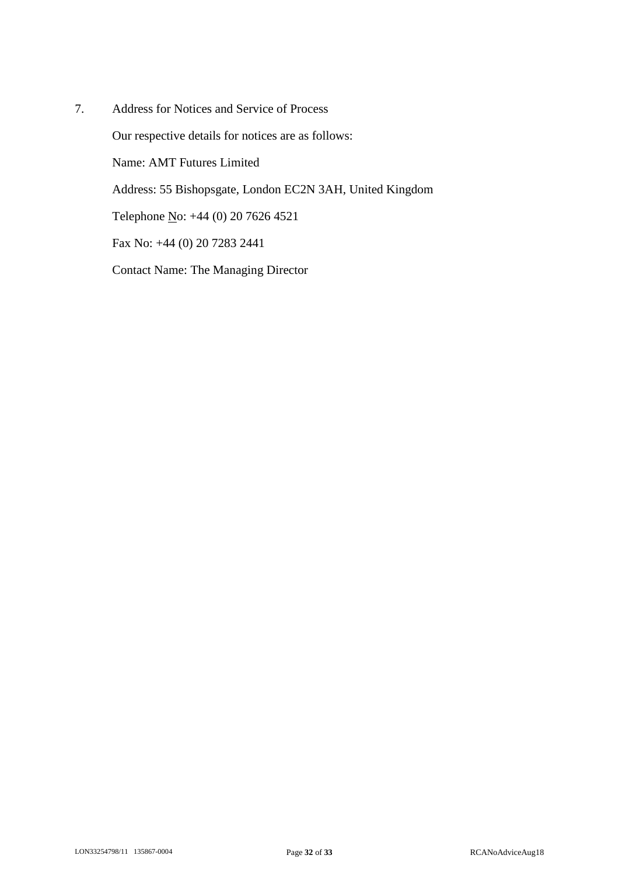7. Address for Notices and Service of Process Our respective details for notices are as follows: Name: AMT Futures Limited Address: 55 Bishopsgate, London EC2N 3AH, United Kingdom Telephone <u>N</u>o: +44 (0) 20 7626 4521 Fax No: +44 (0) 20 7283 2441 Contact Name: The Managing Director